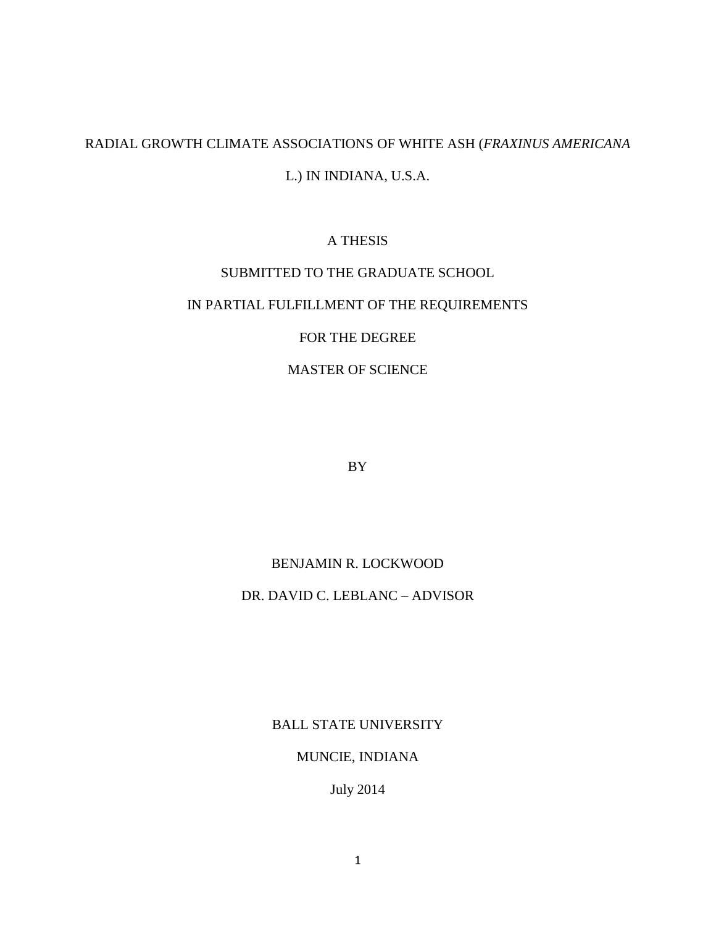## RADIAL GROWTH CLIMATE ASSOCIATIONS OF WHITE ASH (*FRAXINUS AMERICANA*  L.) IN INDIANA, U.S.A.

## A THESIS

## SUBMITTED TO THE GRADUATE SCHOOL

## IN PARTIAL FULFILLMENT OF THE REQUIREMENTS

## FOR THE DEGREE

## MASTER OF SCIENCE

BY

## BENJAMIN R. LOCKWOOD

## DR. DAVID C. LEBLANC – ADVISOR

BALL STATE UNIVERSITY

#### MUNCIE, INDIANA

July 2014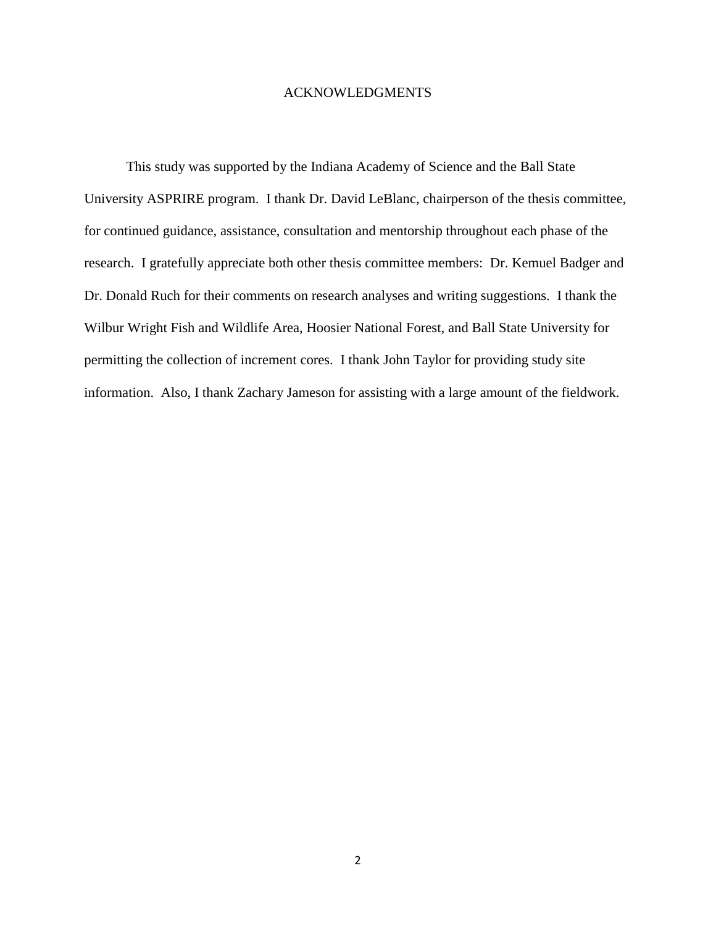#### ACKNOWLEDGMENTS

This study was supported by the Indiana Academy of Science and the Ball State University ASPRIRE program. I thank Dr. David LeBlanc, chairperson of the thesis committee, for continued guidance, assistance, consultation and mentorship throughout each phase of the research. I gratefully appreciate both other thesis committee members: Dr. Kemuel Badger and Dr. Donald Ruch for their comments on research analyses and writing suggestions. I thank the Wilbur Wright Fish and Wildlife Area, Hoosier National Forest, and Ball State University for permitting the collection of increment cores. I thank John Taylor for providing study site information. Also, I thank Zachary Jameson for assisting with a large amount of the fieldwork.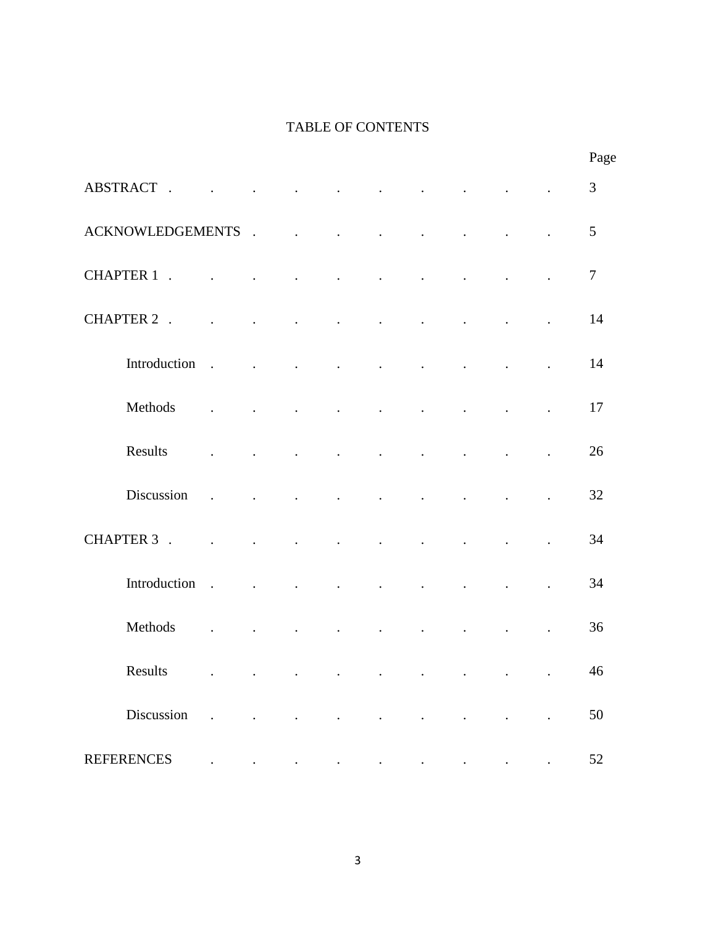## TABLE OF CONTENTS

|                         |                                                                                             |                                    |                          |                                           |                              |                                                                                                                                         |                               |                      |                      | Page           |
|-------------------------|---------------------------------------------------------------------------------------------|------------------------------------|--------------------------|-------------------------------------------|------------------------------|-----------------------------------------------------------------------------------------------------------------------------------------|-------------------------------|----------------------|----------------------|----------------|
| ABSTRACT.               | $\ddot{\phantom{a}}$                                                                        | $\sim$<br><b>Contract Contract</b> | <b>Contract Contract</b> |                                           |                              | $\mathcal{L}^{\mathcal{A}}$ and $\mathcal{L}^{\mathcal{A}}$ are the set of the set of the set of the set of $\mathcal{L}^{\mathcal{A}}$ |                               |                      |                      | $\mathfrak{Z}$ |
| <b>ACKNOWLEDGEMENTS</b> |                                                                                             | $\ddot{\phantom{a}}$               |                          | and the contract of the contract of       | <b>Contract Contract</b>     |                                                                                                                                         | and the state of the state of |                      |                      | 5              |
| CHAPTER 1.              | $\ddot{\phantom{a}}$                                                                        | $\ddot{\phantom{a}}$               | $\ddot{\phantom{a}}$     | $\sim$ $\sim$<br>$\sim$ $\sim$            |                              | $\blacksquare$                                                                                                                          | $\ddot{\phantom{a}}$          | $\ddot{\phantom{a}}$ |                      | $\tau$         |
| CHAPTER 2.              | $\mathbf{L}^{(1)}$ and $\mathbf{L}^{(2)}$ and $\mathbf{L}^{(3)}$                            | $\ddot{\phantom{a}}$               | $\ddot{\phantom{0}}$     | $\ddot{\phantom{0}}$                      | $\ddot{\phantom{a}}$         | $\cdot$                                                                                                                                 | $\ddot{\phantom{0}}$          | $\ddot{\phantom{a}}$ |                      | 14             |
| Introduction            | $\mathcal{A}^{\mathcal{A}}$ and $\mathcal{A}^{\mathcal{A}}$ and $\mathcal{A}^{\mathcal{A}}$ |                                    | $\ddot{\phantom{a}}$     | $\sim$ $\sim$                             | $\sim$ $\sim$                | $\sim$ $\sim$                                                                                                                           | <b>Contractor</b><br>$\sim$   |                      | $\ddot{\phantom{a}}$ | 14             |
| Methods                 |                                                                                             | $\ddot{\phantom{a}}$               | $\ddot{\phantom{a}}$     | $\ddot{\phantom{a}}$                      | $\sim$                       | $\ddot{\phantom{a}}$                                                                                                                    | $\sim$                        | $\sim 100$           |                      | 17             |
| Results                 | $\ddot{\phantom{a}}$                                                                        | $\ddot{\phantom{a}}$               | $\ddot{\phantom{a}}$     | $\ddot{\phantom{a}}$                      | $\ddot{\phantom{a}}$         | $\ddot{\phantom{a}}$                                                                                                                    | $\ddot{\phantom{a}}$          | $\ddot{\phantom{a}}$ |                      | 26             |
| Discussion              | $\sim$ .                                                                                    | and a strategic con-               |                          | $\sim 10^{-11}$ .<br>$\ddot{\phantom{a}}$ |                              | $\bullet$                                                                                                                               | $\bullet$                     | $\blacksquare$       | $\ddot{\phantom{a}}$ | 32             |
| CHAPTER 3.              | and the contract of the                                                                     |                                    | $\sim$ $\sim$            | <b>Contract Contract</b>                  | <b>Contract Contract</b>     | <b>Contract Contract</b>                                                                                                                |                               | $\ddot{\phantom{a}}$ |                      | 34             |
| Introduction            | $\sim 10^{-10}$ and $\sim 10^{-10}$                                                         | $\sim$                             | $\ddot{\phantom{a}}$     | $\ddot{\phantom{a}}$                      | and the contract of the con- |                                                                                                                                         | <b>Contractor</b>             | $\ddot{\phantom{a}}$ | $\ddot{\phantom{a}}$ | 34             |
| Methods                 | $\ddot{\phantom{a}}$                                                                        | $\ddot{\phantom{a}}$               | $\ddot{\phantom{a}}$     | $\ddot{\phantom{0}}$                      | $\ddot{\phantom{a}}$         | $\ddot{\phantom{0}}$                                                                                                                    | $\ddot{\phantom{a}}$          | $\ddot{\phantom{a}}$ | $\ddot{\phantom{0}}$ | 36             |
| Results                 |                                                                                             |                                    |                          |                                           |                              |                                                                                                                                         |                               |                      |                      | 46             |
| Discussion              |                                                                                             |                                    |                          |                                           |                              |                                                                                                                                         |                               |                      |                      | 50             |
| <b>REFERENCES</b>       |                                                                                             |                                    |                          |                                           |                              |                                                                                                                                         |                               |                      |                      | 52             |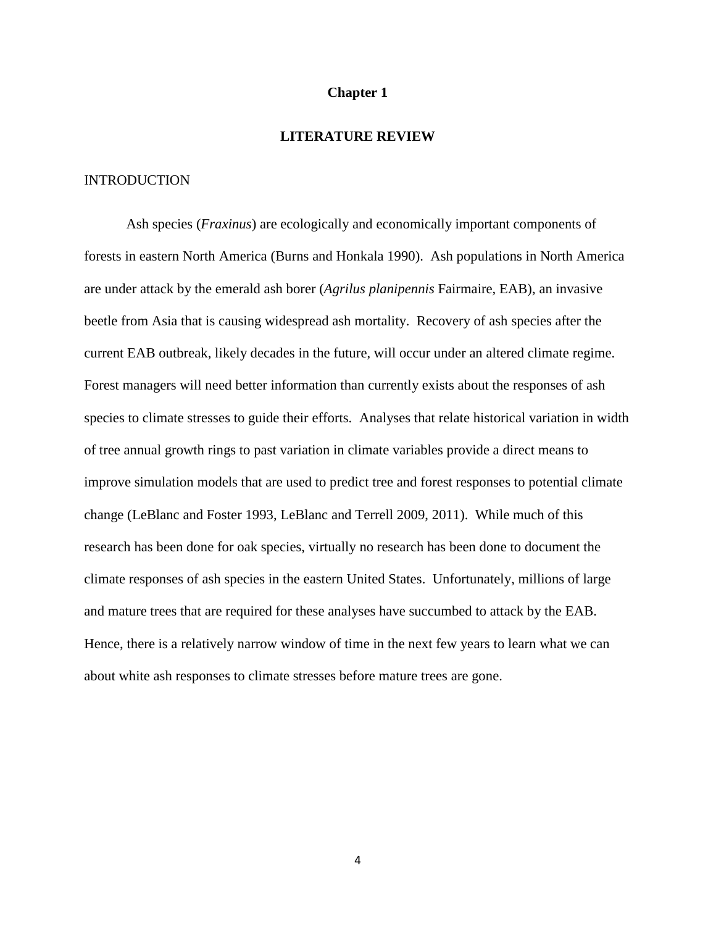#### **Chapter 1**

## **LITERATURE REVIEW**

#### **INTRODUCTION**

Ash species (*Fraxinus*) are ecologically and economically important components of forests in eastern North America (Burns and Honkala 1990). Ash populations in North America are under attack by the emerald ash borer (*Agrilus planipennis* Fairmaire, EAB), an invasive beetle from Asia that is causing widespread ash mortality. Recovery of ash species after the current EAB outbreak, likely decades in the future, will occur under an altered climate regime. Forest managers will need better information than currently exists about the responses of ash species to climate stresses to guide their efforts. Analyses that relate historical variation in width of tree annual growth rings to past variation in climate variables provide a direct means to improve simulation models that are used to predict tree and forest responses to potential climate change (LeBlanc and Foster 1993, LeBlanc and Terrell 2009, 2011). While much of this research has been done for oak species, virtually no research has been done to document the climate responses of ash species in the eastern United States. Unfortunately, millions of large and mature trees that are required for these analyses have succumbed to attack by the EAB. Hence, there is a relatively narrow window of time in the next few years to learn what we can about white ash responses to climate stresses before mature trees are gone.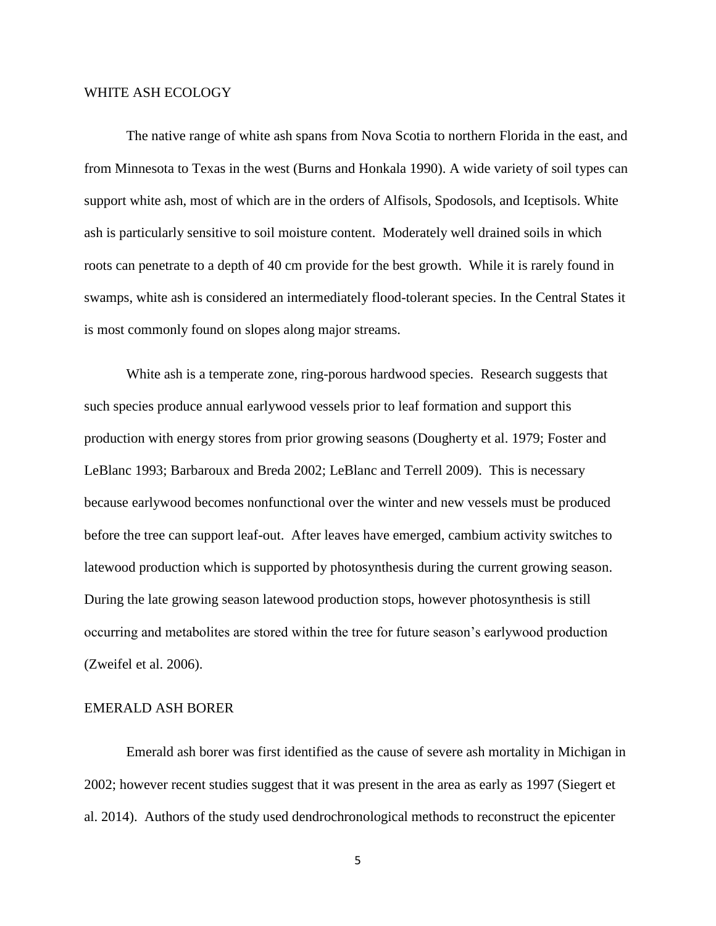#### WHITE ASH ECOLOGY

The native range of white ash spans from Nova Scotia to northern Florida in the east, and from Minnesota to Texas in the west (Burns and Honkala 1990). A wide variety of soil types can support white ash, most of which are in the orders of Alfisols, Spodosols, and Iceptisols. White ash is particularly sensitive to soil moisture content. Moderately well drained soils in which roots can penetrate to a depth of 40 cm provide for the best growth. While it is rarely found in swamps, white ash is considered an intermediately flood-tolerant species. In the Central States it is most commonly found on slopes along major streams.

White ash is a temperate zone, ring-porous hardwood species. Research suggests that such species produce annual earlywood vessels prior to leaf formation and support this production with energy stores from prior growing seasons (Dougherty et al. 1979; Foster and LeBlanc 1993; Barbaroux and Breda 2002; LeBlanc and Terrell 2009). This is necessary because earlywood becomes nonfunctional over the winter and new vessels must be produced before the tree can support leaf-out. After leaves have emerged, cambium activity switches to latewood production which is supported by photosynthesis during the current growing season. During the late growing season latewood production stops, however photosynthesis is still occurring and metabolites are stored within the tree for future season's earlywood production (Zweifel et al. 2006).

#### EMERALD ASH BORER

Emerald ash borer was first identified as the cause of severe ash mortality in Michigan in 2002; however recent studies suggest that it was present in the area as early as 1997 (Siegert et al. 2014). Authors of the study used dendrochronological methods to reconstruct the epicenter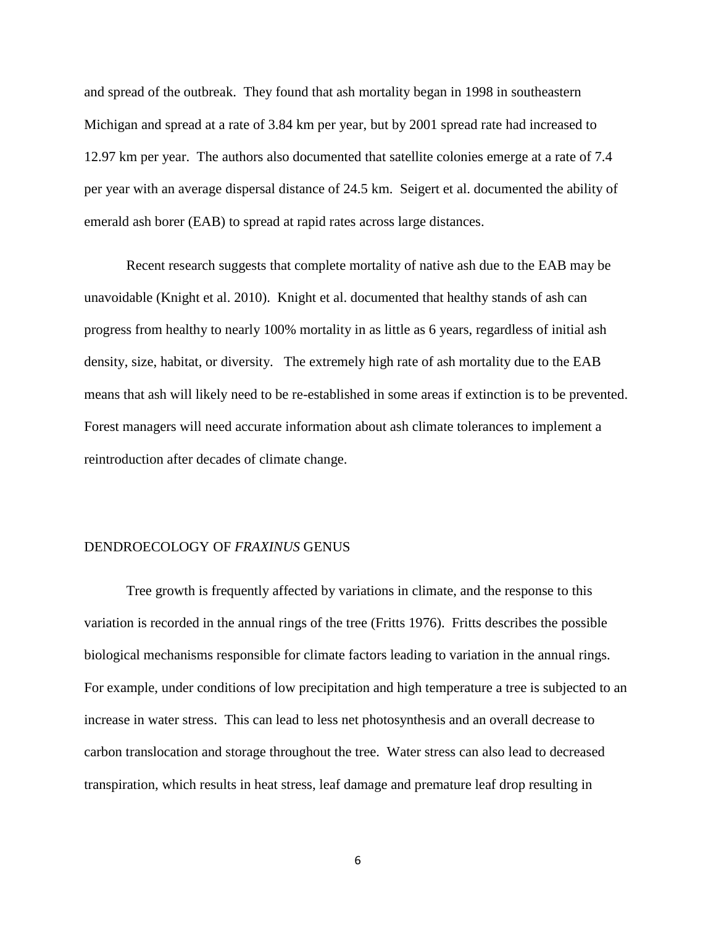and spread of the outbreak. They found that ash mortality began in 1998 in southeastern Michigan and spread at a rate of 3.84 km per year, but by 2001 spread rate had increased to 12.97 km per year. The authors also documented that satellite colonies emerge at a rate of 7.4 per year with an average dispersal distance of 24.5 km. Seigert et al. documented the ability of emerald ash borer (EAB) to spread at rapid rates across large distances.

Recent research suggests that complete mortality of native ash due to the EAB may be unavoidable (Knight et al. 2010). Knight et al. documented that healthy stands of ash can progress from healthy to nearly 100% mortality in as little as 6 years, regardless of initial ash density, size, habitat, or diversity. The extremely high rate of ash mortality due to the EAB means that ash will likely need to be re-established in some areas if extinction is to be prevented. Forest managers will need accurate information about ash climate tolerances to implement a reintroduction after decades of climate change.

#### DENDROECOLOGY OF *FRAXINUS* GENUS

Tree growth is frequently affected by variations in climate, and the response to this variation is recorded in the annual rings of the tree (Fritts 1976). Fritts describes the possible biological mechanisms responsible for climate factors leading to variation in the annual rings. For example, under conditions of low precipitation and high temperature a tree is subjected to an increase in water stress. This can lead to less net photosynthesis and an overall decrease to carbon translocation and storage throughout the tree. Water stress can also lead to decreased transpiration, which results in heat stress, leaf damage and premature leaf drop resulting in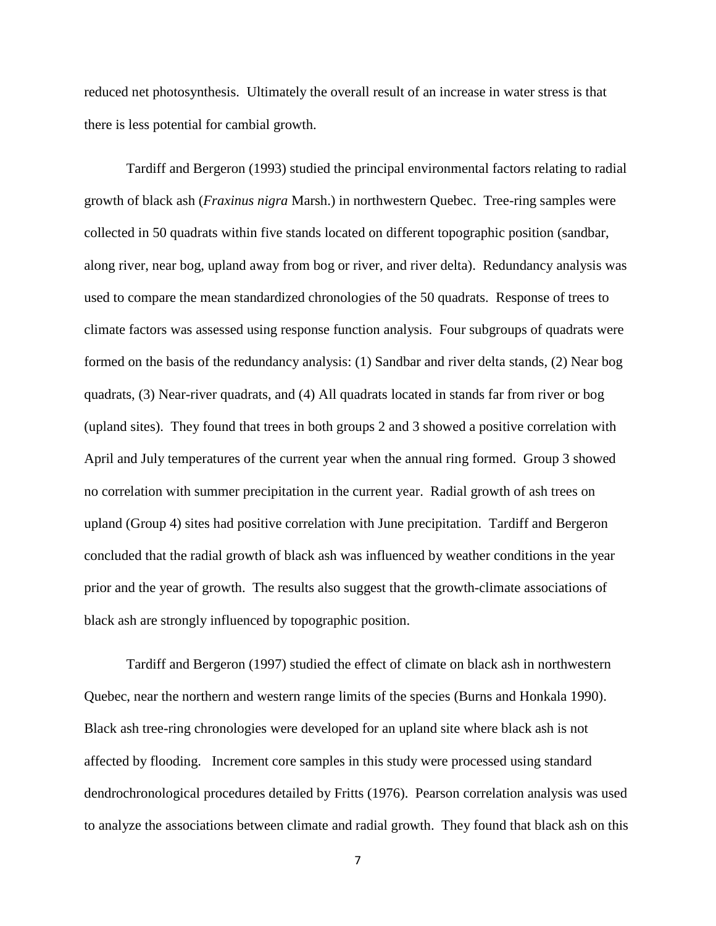reduced net photosynthesis. Ultimately the overall result of an increase in water stress is that there is less potential for cambial growth.

Tardiff and Bergeron (1993) studied the principal environmental factors relating to radial growth of black ash (*Fraxinus nigra* Marsh.) in northwestern Quebec. Tree-ring samples were collected in 50 quadrats within five stands located on different topographic position (sandbar, along river, near bog, upland away from bog or river, and river delta). Redundancy analysis was used to compare the mean standardized chronologies of the 50 quadrats. Response of trees to climate factors was assessed using response function analysis. Four subgroups of quadrats were formed on the basis of the redundancy analysis: (1) Sandbar and river delta stands, (2) Near bog quadrats, (3) Near-river quadrats, and (4) All quadrats located in stands far from river or bog (upland sites). They found that trees in both groups 2 and 3 showed a positive correlation with April and July temperatures of the current year when the annual ring formed. Group 3 showed no correlation with summer precipitation in the current year. Radial growth of ash trees on upland (Group 4) sites had positive correlation with June precipitation. Tardiff and Bergeron concluded that the radial growth of black ash was influenced by weather conditions in the year prior and the year of growth. The results also suggest that the growth-climate associations of black ash are strongly influenced by topographic position.

Tardiff and Bergeron (1997) studied the effect of climate on black ash in northwestern Quebec, near the northern and western range limits of the species (Burns and Honkala 1990). Black ash tree-ring chronologies were developed for an upland site where black ash is not affected by flooding. Increment core samples in this study were processed using standard dendrochronological procedures detailed by Fritts (1976). Pearson correlation analysis was used to analyze the associations between climate and radial growth. They found that black ash on this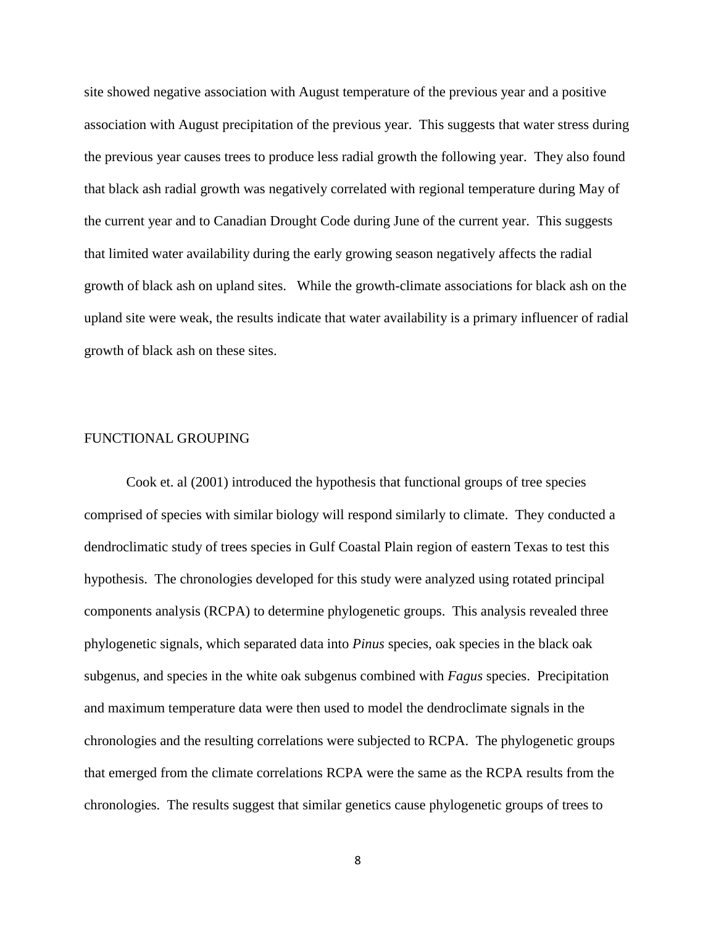site showed negative association with August temperature of the previous year and a positive association with August precipitation of the previous year. This suggests that water stress during the previous year causes trees to produce less radial growth the following year. They also found that black ash radial growth was negatively correlated with regional temperature during May of the current year and to Canadian Drought Code during June of the current year. This suggests that limited water availability during the early growing season negatively affects the radial growth of black ash on upland sites. While the growth-climate associations for black ash on the upland site were weak, the results indicate that water availability is a primary influencer of radial growth of black ash on these sites.

#### FUNCTIONAL GROUPING

Cook et. al (2001) introduced the hypothesis that functional groups of tree species comprised of species with similar biology will respond similarly to climate. They conducted a dendroclimatic study of trees species in Gulf Coastal Plain region of eastern Texas to test this hypothesis. The chronologies developed for this study were analyzed using rotated principal components analysis (RCPA) to determine phylogenetic groups. This analysis revealed three phylogenetic signals, which separated data into *Pinus* species, oak species in the black oak subgenus, and species in the white oak subgenus combined with *Fagus* species. Precipitation and maximum temperature data were then used to model the dendroclimate signals in the chronologies and the resulting correlations were subjected to RCPA. The phylogenetic groups that emerged from the climate correlations RCPA were the same as the RCPA results from the chronologies. The results suggest that similar genetics cause phylogenetic groups of trees to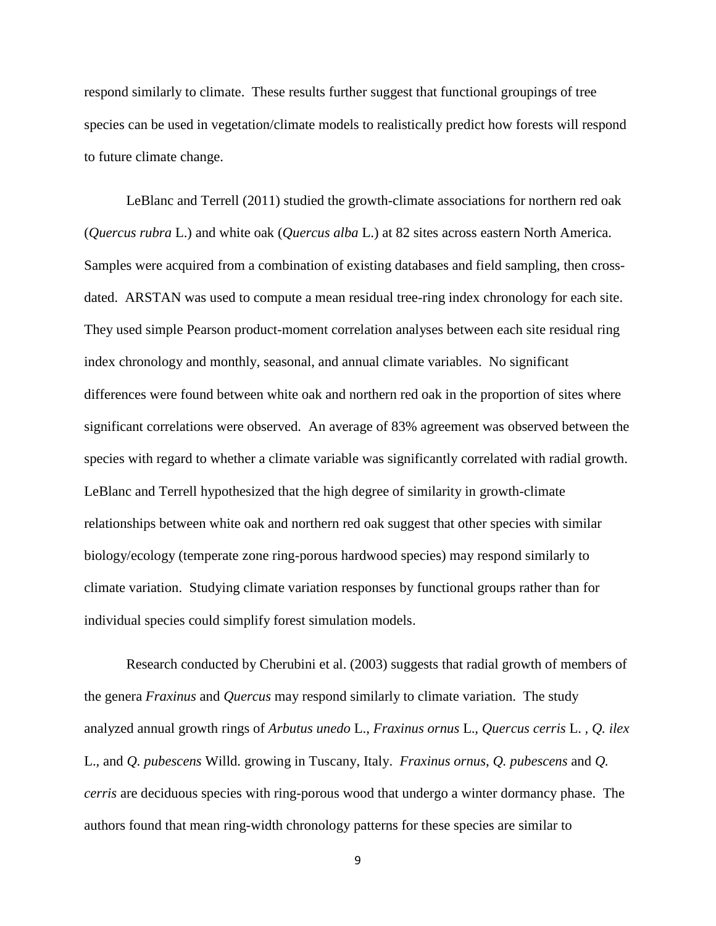respond similarly to climate. These results further suggest that functional groupings of tree species can be used in vegetation/climate models to realistically predict how forests will respond to future climate change.

LeBlanc and Terrell (2011) studied the growth-climate associations for northern red oak (*Quercus rubra* L.) and white oak (*Quercus alba* L.) at 82 sites across eastern North America. Samples were acquired from a combination of existing databases and field sampling, then crossdated. ARSTAN was used to compute a mean residual tree-ring index chronology for each site. They used simple Pearson product-moment correlation analyses between each site residual ring index chronology and monthly, seasonal, and annual climate variables. No significant differences were found between white oak and northern red oak in the proportion of sites where significant correlations were observed. An average of 83% agreement was observed between the species with regard to whether a climate variable was significantly correlated with radial growth. LeBlanc and Terrell hypothesized that the high degree of similarity in growth-climate relationships between white oak and northern red oak suggest that other species with similar biology/ecology (temperate zone ring-porous hardwood species) may respond similarly to climate variation. Studying climate variation responses by functional groups rather than for individual species could simplify forest simulation models.

Research conducted by Cherubini et al. (2003) suggests that radial growth of members of the genera *Fraxinus* and *Quercus* may respond similarly to climate variation. The study analyzed annual growth rings of *Arbutus unedo* L., *Fraxinus ornus* L.*, Quercus cerris* L. *, Q. ilex* L.*,* and *Q. pubescens* Willd. growing in Tuscany, Italy. *Fraxinus ornus*, *Q. pubescens* and *Q. cerris* are deciduous species with ring-porous wood that undergo a winter dormancy phase. The authors found that mean ring-width chronology patterns for these species are similar to

<sup>9</sup>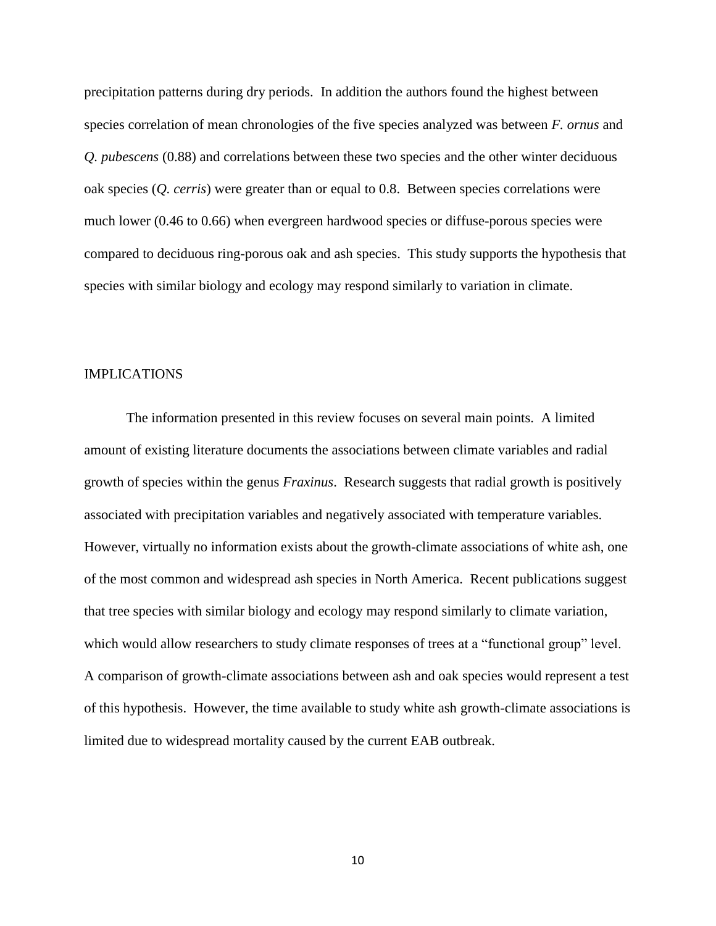precipitation patterns during dry periods. In addition the authors found the highest between species correlation of mean chronologies of the five species analyzed was between *F. ornus* and *Q. pubescens* (0.88) and correlations between these two species and the other winter deciduous oak species (*Q. cerris*) were greater than or equal to 0.8. Between species correlations were much lower (0.46 to 0.66) when evergreen hardwood species or diffuse-porous species were compared to deciduous ring-porous oak and ash species. This study supports the hypothesis that species with similar biology and ecology may respond similarly to variation in climate.

#### IMPLICATIONS

The information presented in this review focuses on several main points. A limited amount of existing literature documents the associations between climate variables and radial growth of species within the genus *Fraxinus*. Research suggests that radial growth is positively associated with precipitation variables and negatively associated with temperature variables. However, virtually no information exists about the growth-climate associations of white ash, one of the most common and widespread ash species in North America. Recent publications suggest that tree species with similar biology and ecology may respond similarly to climate variation, which would allow researchers to study climate responses of trees at a "functional group" level. A comparison of growth-climate associations between ash and oak species would represent a test of this hypothesis. However, the time available to study white ash growth-climate associations is limited due to widespread mortality caused by the current EAB outbreak.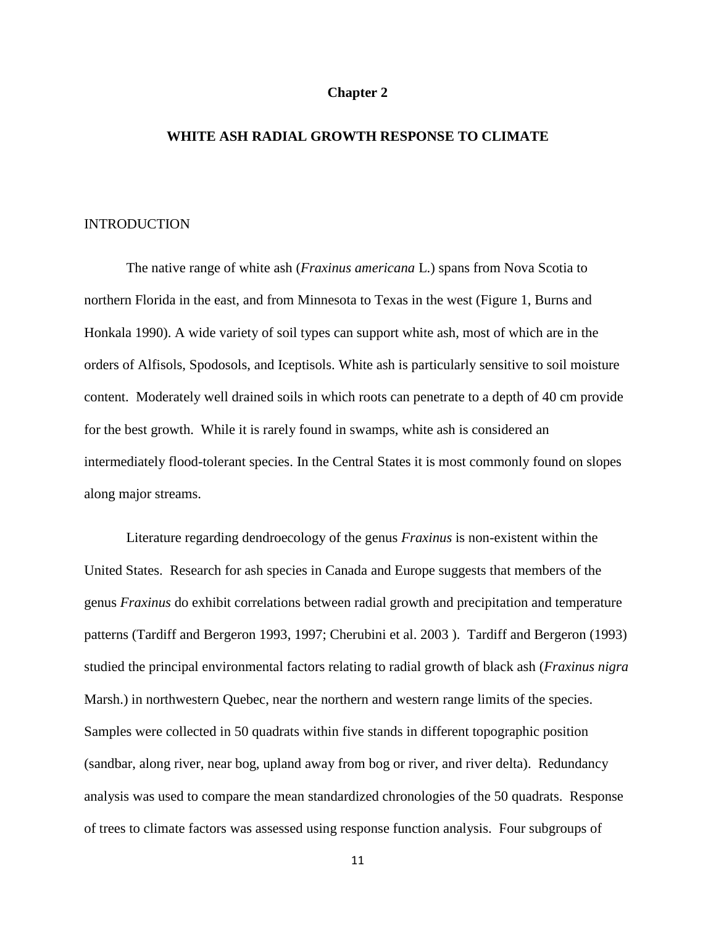#### **Chapter 2**

#### **WHITE ASH RADIAL GROWTH RESPONSE TO CLIMATE**

#### INTRODUCTION

The native range of white ash (*Fraxinus americana* L.) spans from Nova Scotia to northern Florida in the east, and from Minnesota to Texas in the west (Figure 1, Burns and Honkala 1990). A wide variety of soil types can support white ash, most of which are in the orders of Alfisols, Spodosols, and Iceptisols. White ash is particularly sensitive to soil moisture content. Moderately well drained soils in which roots can penetrate to a depth of 40 cm provide for the best growth. While it is rarely found in swamps, white ash is considered an intermediately flood-tolerant species. In the Central States it is most commonly found on slopes along major streams.

Literature regarding dendroecology of the genus *Fraxinus* is non-existent within the United States. Research for ash species in Canada and Europe suggests that members of the genus *Fraxinus* do exhibit correlations between radial growth and precipitation and temperature patterns (Tardiff and Bergeron 1993, 1997; Cherubini et al. 2003 ). Tardiff and Bergeron (1993) studied the principal environmental factors relating to radial growth of black ash (*Fraxinus nigra*  Marsh.) in northwestern Quebec, near the northern and western range limits of the species. Samples were collected in 50 quadrats within five stands in different topographic position (sandbar, along river, near bog, upland away from bog or river, and river delta). Redundancy analysis was used to compare the mean standardized chronologies of the 50 quadrats. Response of trees to climate factors was assessed using response function analysis. Four subgroups of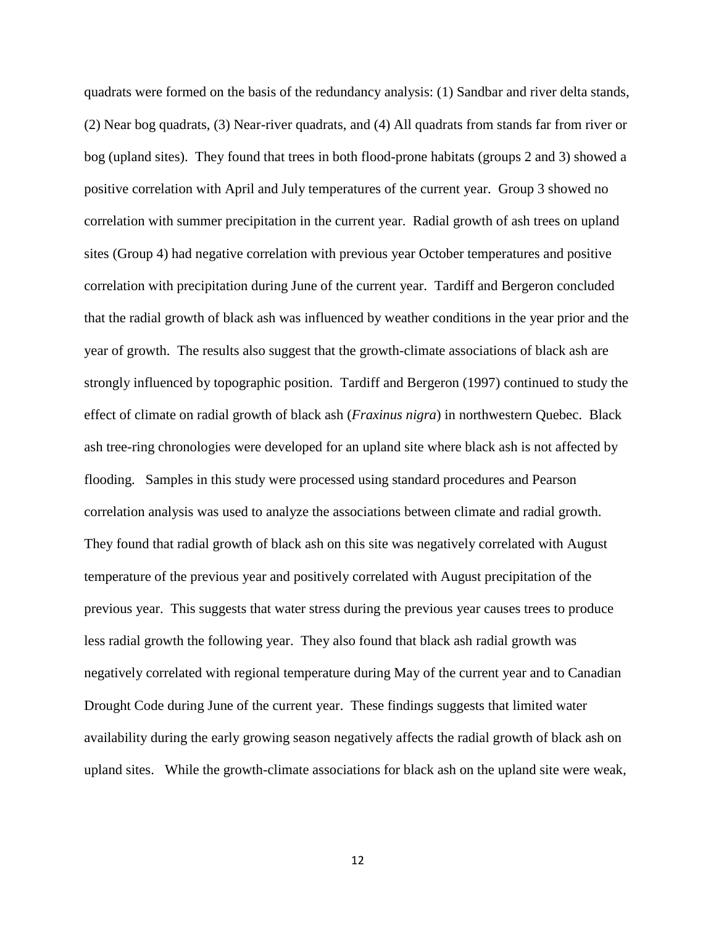quadrats were formed on the basis of the redundancy analysis: (1) Sandbar and river delta stands, (2) Near bog quadrats, (3) Near-river quadrats, and (4) All quadrats from stands far from river or bog (upland sites). They found that trees in both flood-prone habitats (groups 2 and 3) showed a positive correlation with April and July temperatures of the current year. Group 3 showed no correlation with summer precipitation in the current year. Radial growth of ash trees on upland sites (Group 4) had negative correlation with previous year October temperatures and positive correlation with precipitation during June of the current year. Tardiff and Bergeron concluded that the radial growth of black ash was influenced by weather conditions in the year prior and the year of growth. The results also suggest that the growth-climate associations of black ash are strongly influenced by topographic position. Tardiff and Bergeron (1997) continued to study the effect of climate on radial growth of black ash (*Fraxinus nigra*) in northwestern Quebec. Black ash tree-ring chronologies were developed for an upland site where black ash is not affected by flooding. Samples in this study were processed using standard procedures and Pearson correlation analysis was used to analyze the associations between climate and radial growth. They found that radial growth of black ash on this site was negatively correlated with August temperature of the previous year and positively correlated with August precipitation of the previous year. This suggests that water stress during the previous year causes trees to produce less radial growth the following year. They also found that black ash radial growth was negatively correlated with regional temperature during May of the current year and to Canadian Drought Code during June of the current year. These findings suggests that limited water availability during the early growing season negatively affects the radial growth of black ash on upland sites. While the growth-climate associations for black ash on the upland site were weak,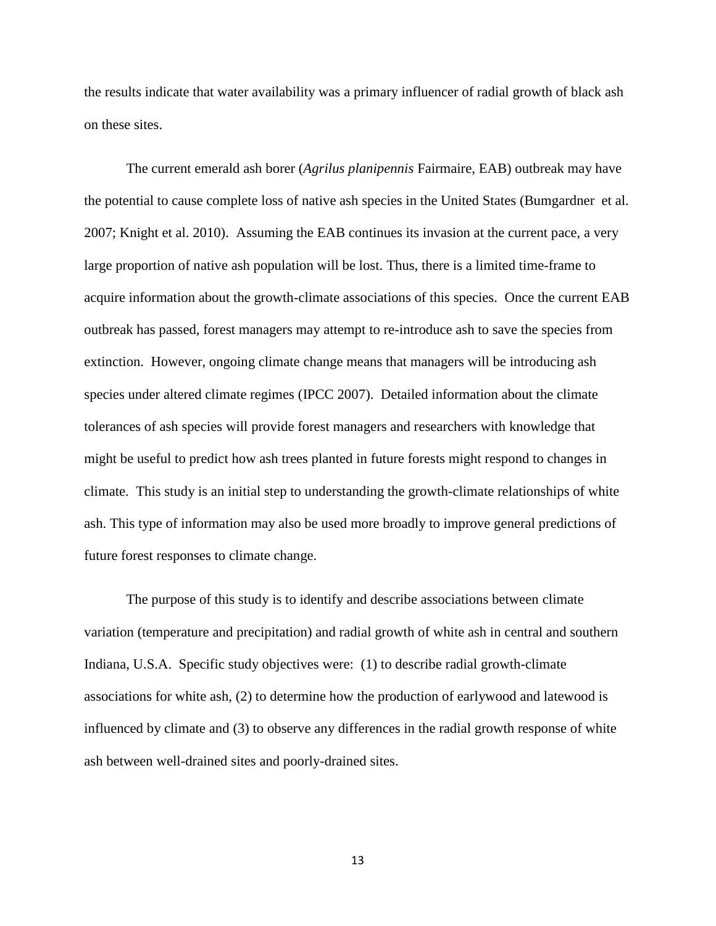the results indicate that water availability was a primary influencer of radial growth of black ash on these sites.

The current emerald ash borer (*Agrilus planipennis* Fairmaire, EAB) outbreak may have the potential to cause complete loss of native ash species in the United States (Bumgardner et al. 2007; Knight et al. 2010). Assuming the EAB continues its invasion at the current pace, a very large proportion of native ash population will be lost. Thus, there is a limited time-frame to acquire information about the growth-climate associations of this species. Once the current EAB outbreak has passed, forest managers may attempt to re-introduce ash to save the species from extinction. However, ongoing climate change means that managers will be introducing ash species under altered climate regimes (IPCC 2007). Detailed information about the climate tolerances of ash species will provide forest managers and researchers with knowledge that might be useful to predict how ash trees planted in future forests might respond to changes in climate. This study is an initial step to understanding the growth-climate relationships of white ash. This type of information may also be used more broadly to improve general predictions of future forest responses to climate change.

The purpose of this study is to identify and describe associations between climate variation (temperature and precipitation) and radial growth of white ash in central and southern Indiana, U.S.A. Specific study objectives were: (1) to describe radial growth-climate associations for white ash, (2) to determine how the production of earlywood and latewood is influenced by climate and (3) to observe any differences in the radial growth response of white ash between well-drained sites and poorly-drained sites.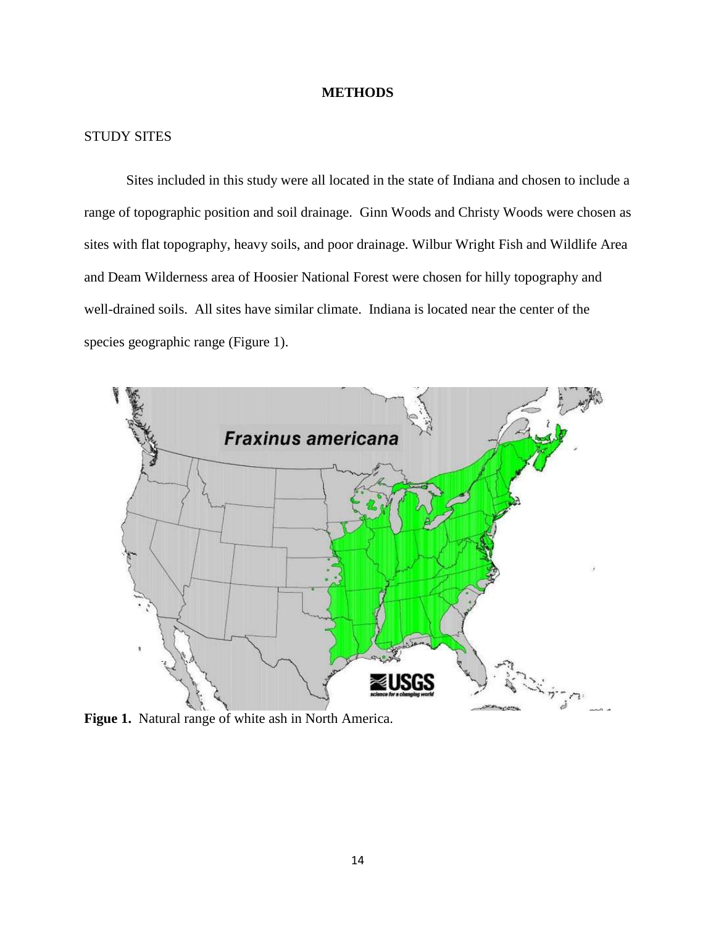#### **METHODS**

## STUDY SITES

Sites included in this study were all located in the state of Indiana and chosen to include a range of topographic position and soil drainage. Ginn Woods and Christy Woods were chosen as sites with flat topography, heavy soils, and poor drainage. Wilbur Wright Fish and Wildlife Area and Deam Wilderness area of Hoosier National Forest were chosen for hilly topography and well-drained soils. All sites have similar climate. Indiana is located near the center of the species geographic range (Figure 1).



**Figue 1.** Natural range of white ash in North America.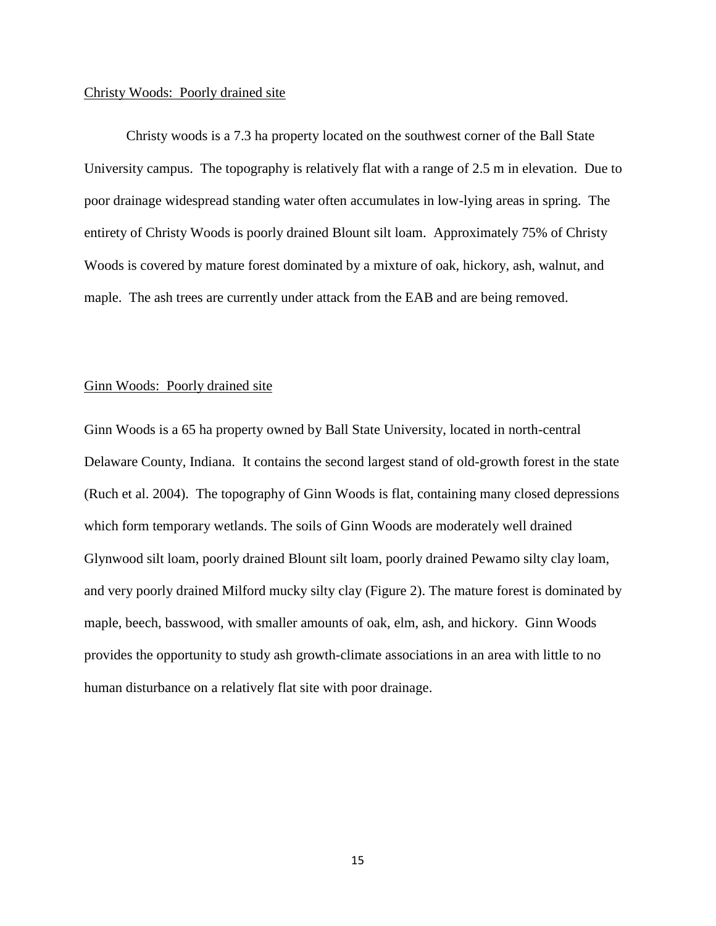#### Christy Woods: Poorly drained site

Christy woods is a 7.3 ha property located on the southwest corner of the Ball State University campus. The topography is relatively flat with a range of 2.5 m in elevation. Due to poor drainage widespread standing water often accumulates in low-lying areas in spring. The entirety of Christy Woods is poorly drained Blount silt loam. Approximately 75% of Christy Woods is covered by mature forest dominated by a mixture of oak, hickory, ash, walnut, and maple. The ash trees are currently under attack from the EAB and are being removed.

#### Ginn Woods: Poorly drained site

Ginn Woods is a 65 ha property owned by Ball State University, located in north-central Delaware County, Indiana. It contains the second largest stand of old-growth forest in the state (Ruch et al. 2004). The topography of Ginn Woods is flat, containing many closed depressions which form temporary wetlands. The soils of Ginn Woods are moderately well drained Glynwood silt loam, poorly drained Blount silt loam, poorly drained Pewamo silty clay loam, and very poorly drained Milford mucky silty clay (Figure 2). The mature forest is dominated by maple, beech, basswood, with smaller amounts of oak, elm, ash, and hickory. Ginn Woods provides the opportunity to study ash growth-climate associations in an area with little to no human disturbance on a relatively flat site with poor drainage.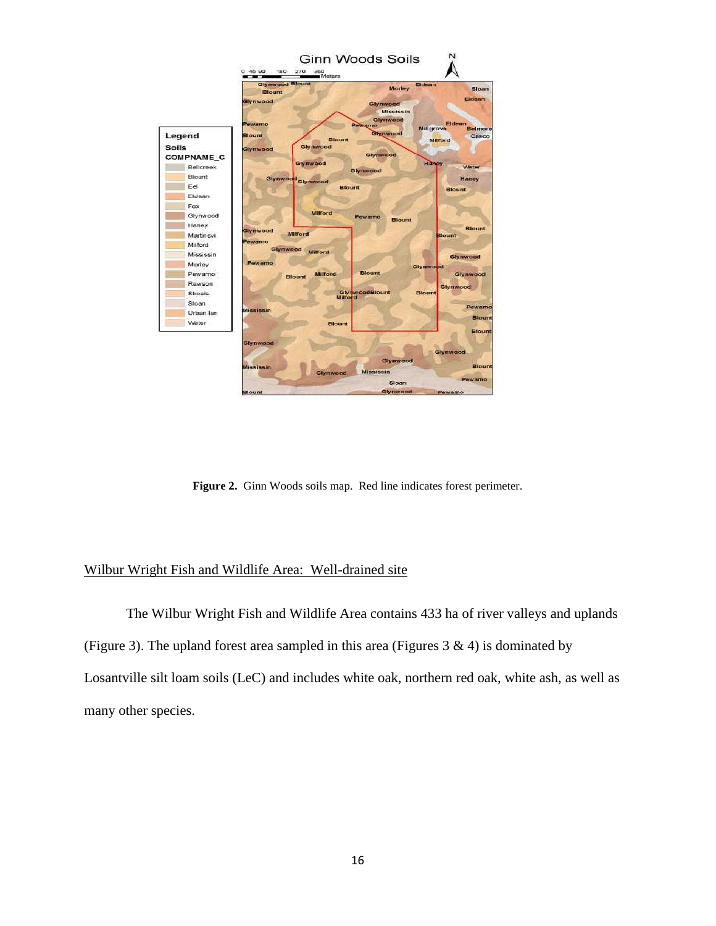

**Figure 2.** Ginn Woods soils map. Red line indicates forest perimeter.

## Wilbur Wright Fish and Wildlife Area: Well-drained site

The Wilbur Wright Fish and Wildlife Area contains 433 ha of river valleys and uplands (Figure 3). The upland forest area sampled in this area (Figures  $3 \& 4$ ) is dominated by Losantville silt loam soils (LeC) and includes white oak, northern red oak, white ash, as well as many other species.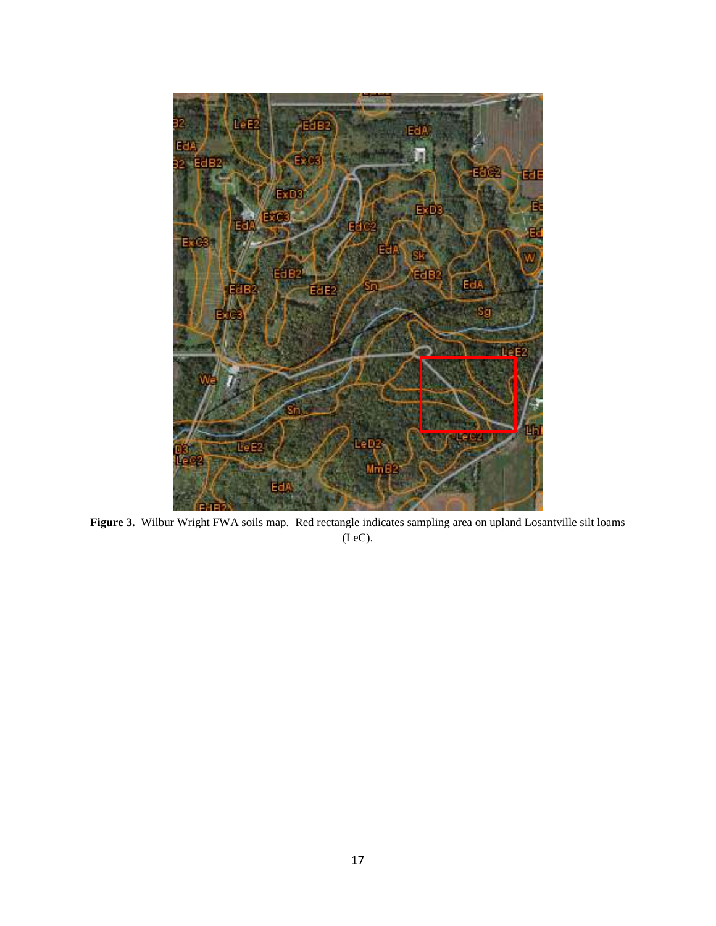

Figure 3. Wilbur Wright FWA soils map. Red rectangle indicates sampling area on upland Losantville silt loams (LeC).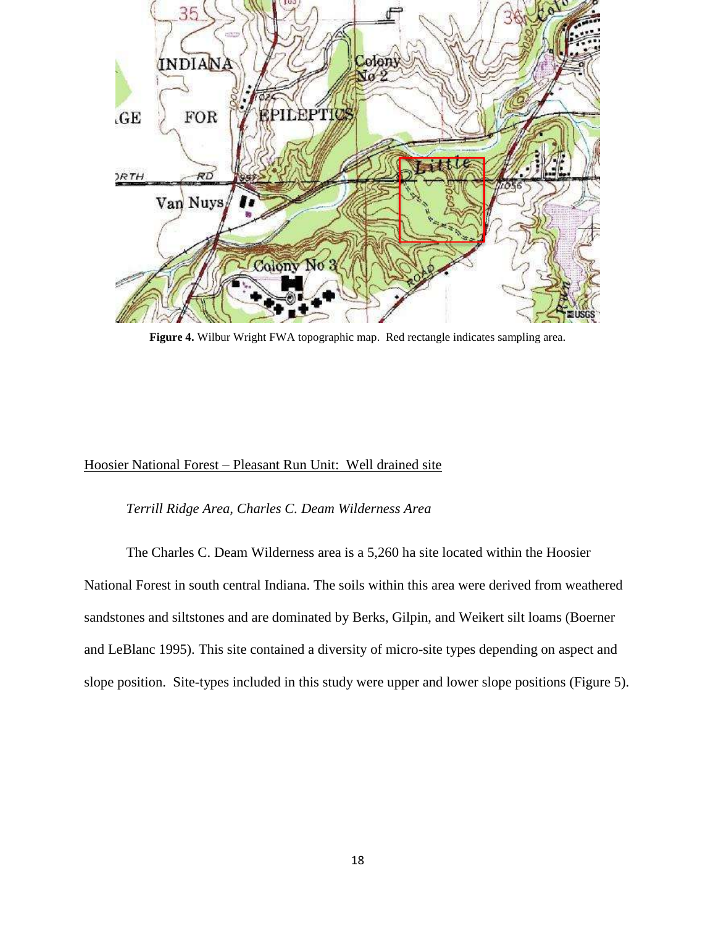

**Figure 4.** Wilbur Wright FWA topographic map. Red rectangle indicates sampling area.

## Hoosier National Forest – Pleasant Run Unit: Well drained site

#### *Terrill Ridge Area, Charles C. Deam Wilderness Area*

The Charles C. Deam Wilderness area is a 5,260 ha site located within the Hoosier National Forest in south central Indiana. The soils within this area were derived from weathered sandstones and siltstones and are dominated by Berks, Gilpin, and Weikert silt loams (Boerner and LeBlanc 1995). This site contained a diversity of micro-site types depending on aspect and slope position. Site-types included in this study were upper and lower slope positions (Figure 5).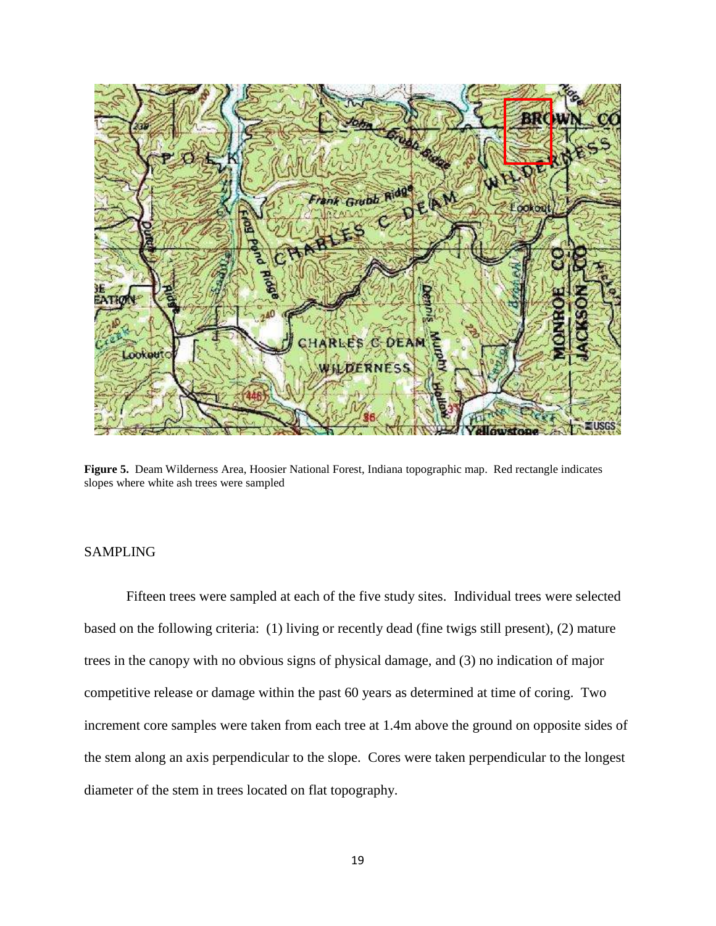

**Figure 5.** Deam Wilderness Area, Hoosier National Forest, Indiana topographic map. Red rectangle indicates slopes where white ash trees were sampled

## SAMPLING

Fifteen trees were sampled at each of the five study sites. Individual trees were selected based on the following criteria: (1) living or recently dead (fine twigs still present), (2) mature trees in the canopy with no obvious signs of physical damage, and (3) no indication of major competitive release or damage within the past 60 years as determined at time of coring. Two increment core samples were taken from each tree at 1.4m above the ground on opposite sides of the stem along an axis perpendicular to the slope. Cores were taken perpendicular to the longest diameter of the stem in trees located on flat topography.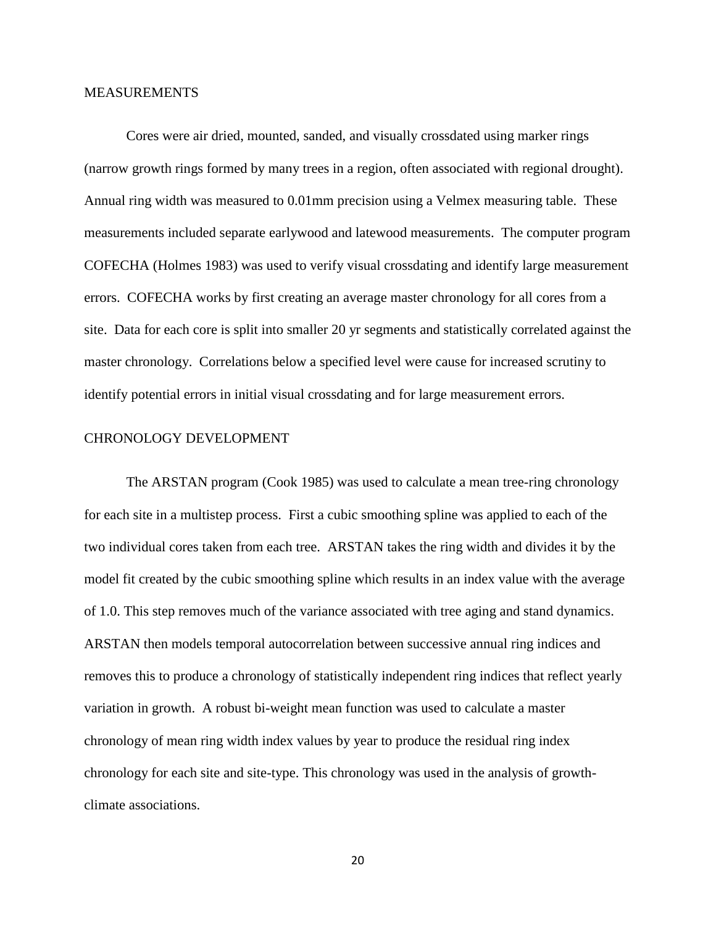#### MEASUREMENTS

Cores were air dried, mounted, sanded, and visually crossdated using marker rings (narrow growth rings formed by many trees in a region, often associated with regional drought). Annual ring width was measured to 0.01mm precision using a Velmex measuring table. These measurements included separate earlywood and latewood measurements. The computer program COFECHA (Holmes 1983) was used to verify visual crossdating and identify large measurement errors. COFECHA works by first creating an average master chronology for all cores from a site. Data for each core is split into smaller 20 yr segments and statistically correlated against the master chronology. Correlations below a specified level were cause for increased scrutiny to identify potential errors in initial visual crossdating and for large measurement errors.

#### CHRONOLOGY DEVELOPMENT

The ARSTAN program (Cook 1985) was used to calculate a mean tree-ring chronology for each site in a multistep process. First a cubic smoothing spline was applied to each of the two individual cores taken from each tree. ARSTAN takes the ring width and divides it by the model fit created by the cubic smoothing spline which results in an index value with the average of 1.0. This step removes much of the variance associated with tree aging and stand dynamics. ARSTAN then models temporal autocorrelation between successive annual ring indices and removes this to produce a chronology of statistically independent ring indices that reflect yearly variation in growth. A robust bi-weight mean function was used to calculate a master chronology of mean ring width index values by year to produce the residual ring index chronology for each site and site-type. This chronology was used in the analysis of growthclimate associations.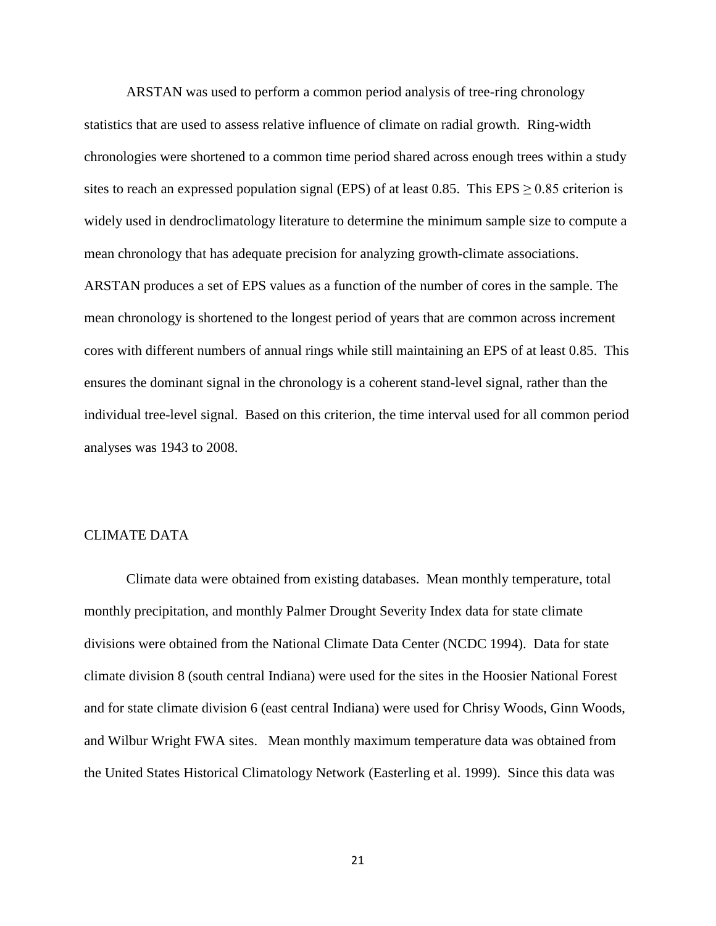ARSTAN was used to perform a common period analysis of tree-ring chronology statistics that are used to assess relative influence of climate on radial growth. Ring-width chronologies were shortened to a common time period shared across enough trees within a study sites to reach an expressed population signal (EPS) of at least 0.85. This EPS  $\geq$  0.85 criterion is widely used in dendroclimatology literature to determine the minimum sample size to compute a mean chronology that has adequate precision for analyzing growth-climate associations. ARSTAN produces a set of EPS values as a function of the number of cores in the sample. The mean chronology is shortened to the longest period of years that are common across increment

cores with different numbers of annual rings while still maintaining an EPS of at least 0.85. This ensures the dominant signal in the chronology is a coherent stand-level signal, rather than the individual tree-level signal. Based on this criterion, the time interval used for all common period analyses was 1943 to 2008.

## CLIMATE DATA

Climate data were obtained from existing databases. Mean monthly temperature, total monthly precipitation, and monthly Palmer Drought Severity Index data for state climate divisions were obtained from the National Climate Data Center (NCDC 1994). Data for state climate division 8 (south central Indiana) were used for the sites in the Hoosier National Forest and for state climate division 6 (east central Indiana) were used for Chrisy Woods, Ginn Woods, and Wilbur Wright FWA sites. Mean monthly maximum temperature data was obtained from the United States Historical Climatology Network (Easterling et al. 1999). Since this data was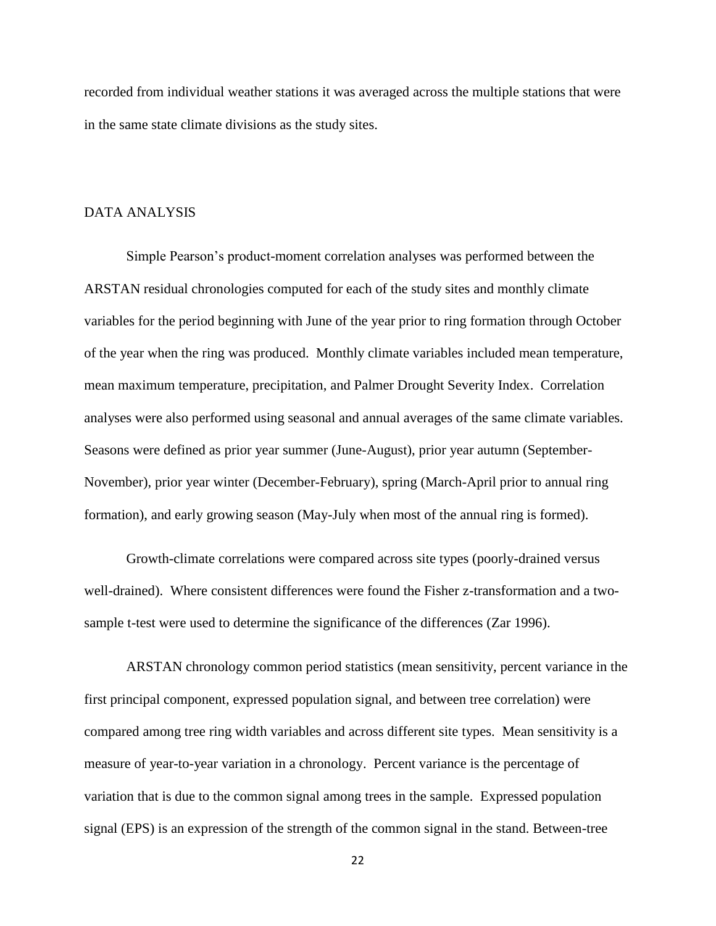recorded from individual weather stations it was averaged across the multiple stations that were in the same state climate divisions as the study sites.

#### DATA ANALYSIS

Simple Pearson's product-moment correlation analyses was performed between the ARSTAN residual chronologies computed for each of the study sites and monthly climate variables for the period beginning with June of the year prior to ring formation through October of the year when the ring was produced. Monthly climate variables included mean temperature, mean maximum temperature, precipitation, and Palmer Drought Severity Index. Correlation analyses were also performed using seasonal and annual averages of the same climate variables. Seasons were defined as prior year summer (June-August), prior year autumn (September-November), prior year winter (December-February), spring (March-April prior to annual ring formation), and early growing season (May-July when most of the annual ring is formed).

Growth-climate correlations were compared across site types (poorly-drained versus well-drained). Where consistent differences were found the Fisher z-transformation and a twosample t-test were used to determine the significance of the differences (Zar 1996).

ARSTAN chronology common period statistics (mean sensitivity, percent variance in the first principal component, expressed population signal, and between tree correlation) were compared among tree ring width variables and across different site types. Mean sensitivity is a measure of year-to-year variation in a chronology. Percent variance is the percentage of variation that is due to the common signal among trees in the sample. Expressed population signal (EPS) is an expression of the strength of the common signal in the stand. Between-tree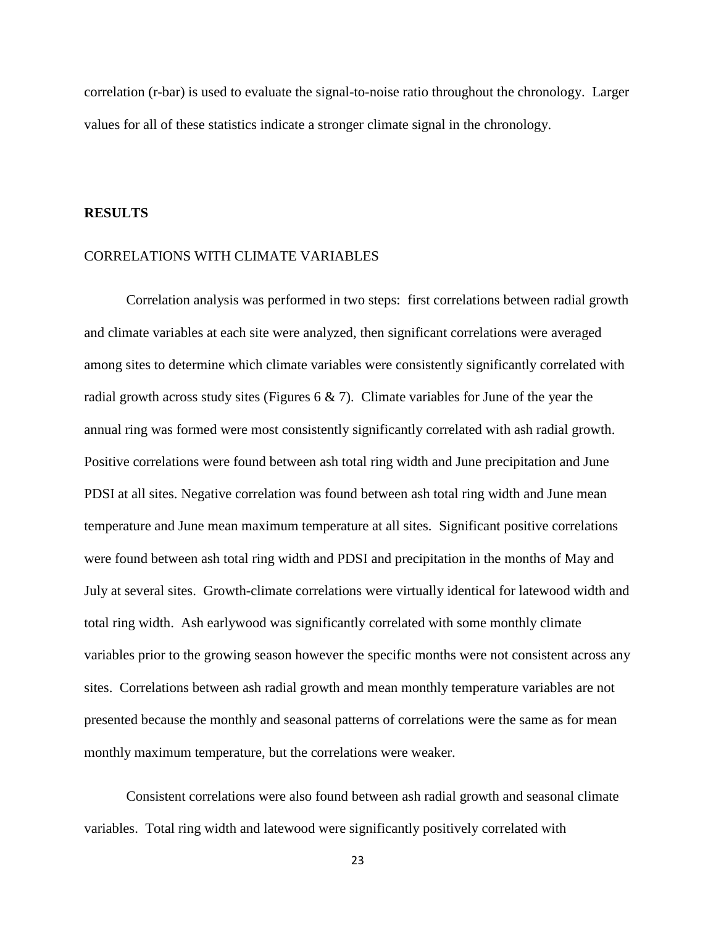correlation (r-bar) is used to evaluate the signal-to-noise ratio throughout the chronology. Larger values for all of these statistics indicate a stronger climate signal in the chronology.

#### **RESULTS**

#### CORRELATIONS WITH CLIMATE VARIABLES

Correlation analysis was performed in two steps: first correlations between radial growth and climate variables at each site were analyzed, then significant correlations were averaged among sites to determine which climate variables were consistently significantly correlated with radial growth across study sites (Figures  $6 \& 7$ ). Climate variables for June of the year the annual ring was formed were most consistently significantly correlated with ash radial growth. Positive correlations were found between ash total ring width and June precipitation and June PDSI at all sites. Negative correlation was found between ash total ring width and June mean temperature and June mean maximum temperature at all sites. Significant positive correlations were found between ash total ring width and PDSI and precipitation in the months of May and July at several sites. Growth-climate correlations were virtually identical for latewood width and total ring width. Ash earlywood was significantly correlated with some monthly climate variables prior to the growing season however the specific months were not consistent across any sites. Correlations between ash radial growth and mean monthly temperature variables are not presented because the monthly and seasonal patterns of correlations were the same as for mean monthly maximum temperature, but the correlations were weaker.

Consistent correlations were also found between ash radial growth and seasonal climate variables. Total ring width and latewood were significantly positively correlated with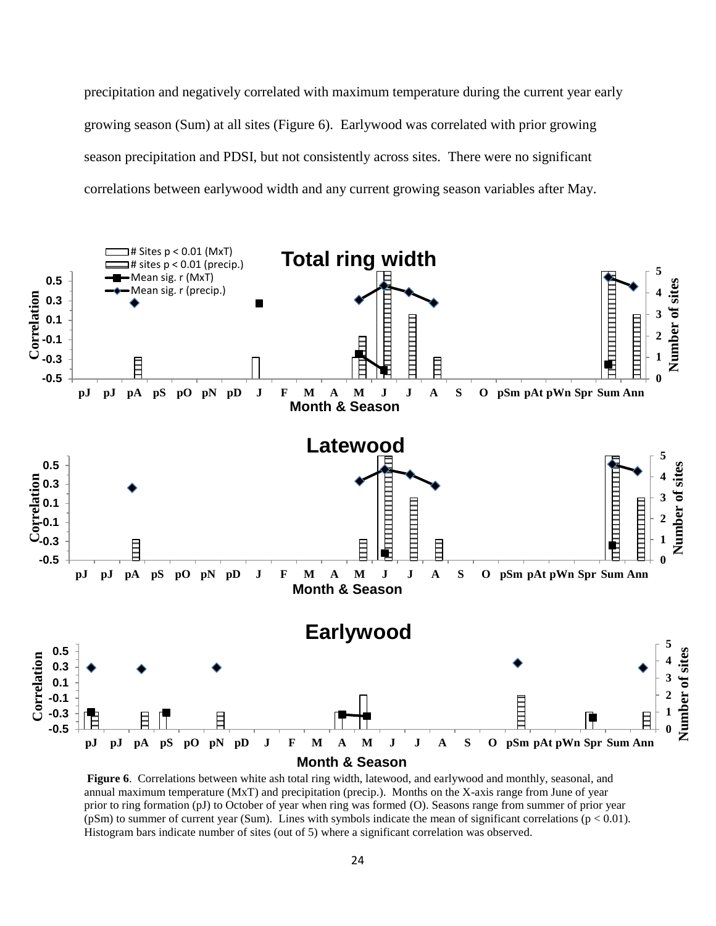precipitation and negatively correlated with maximum temperature during the current year early growing season (Sum) at all sites (Figure 6). Earlywood was correlated with prior growing season precipitation and PDSI, but not consistently across sites. There were no significant correlations between earlywood width and any current growing season variables after May.



**Figure 6**. Correlations between white ash total ring width, latewood, and earlywood and monthly, seasonal, and annual maximum temperature (MxT) and precipitation (precip.). Months on the X-axis range from June of year prior to ring formation (pJ) to October of year when ring was formed (O). Seasons range from summer of prior year ( $pSm$ ) to summer of current year (Sum). Lines with symbols indicate the mean of significant correlations ( $p < 0.01$ ). Histogram bars indicate number of sites (out of 5) where a significant correlation was observed.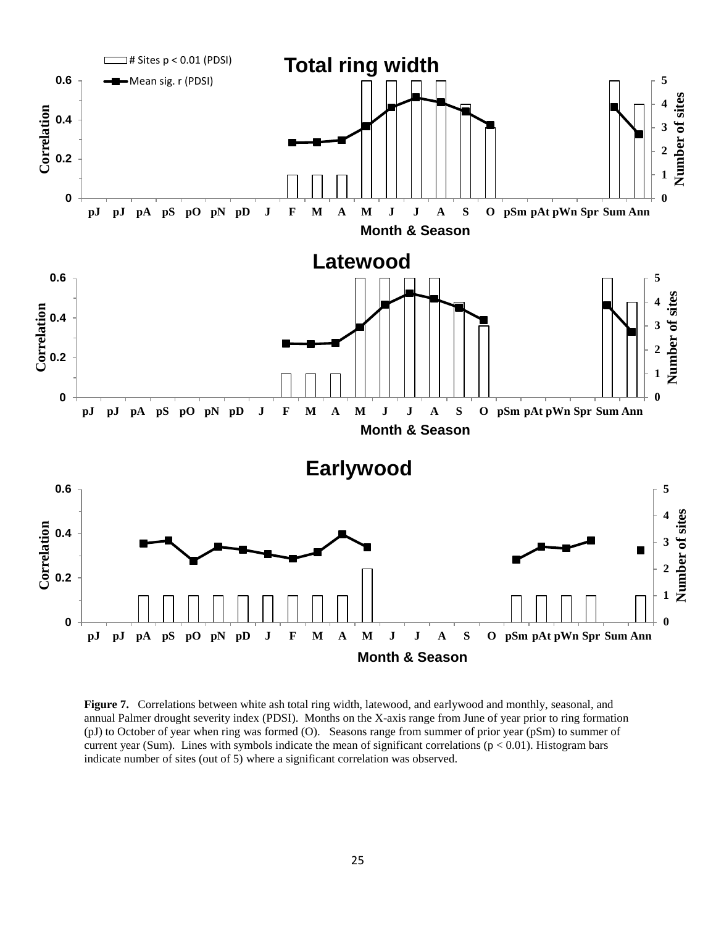

**Figure 7.** Correlations between white ash total ring width, latewood, and earlywood and monthly, seasonal, and annual Palmer drought severity index (PDSI). Months on the X-axis range from June of year prior to ring formation (pJ) to October of year when ring was formed (O). Seasons range from summer of prior year (pSm) to summer of current year (Sum). Lines with symbols indicate the mean of significant correlations ( $p < 0.01$ ). Histogram bars indicate number of sites (out of 5) where a significant correlation was observed.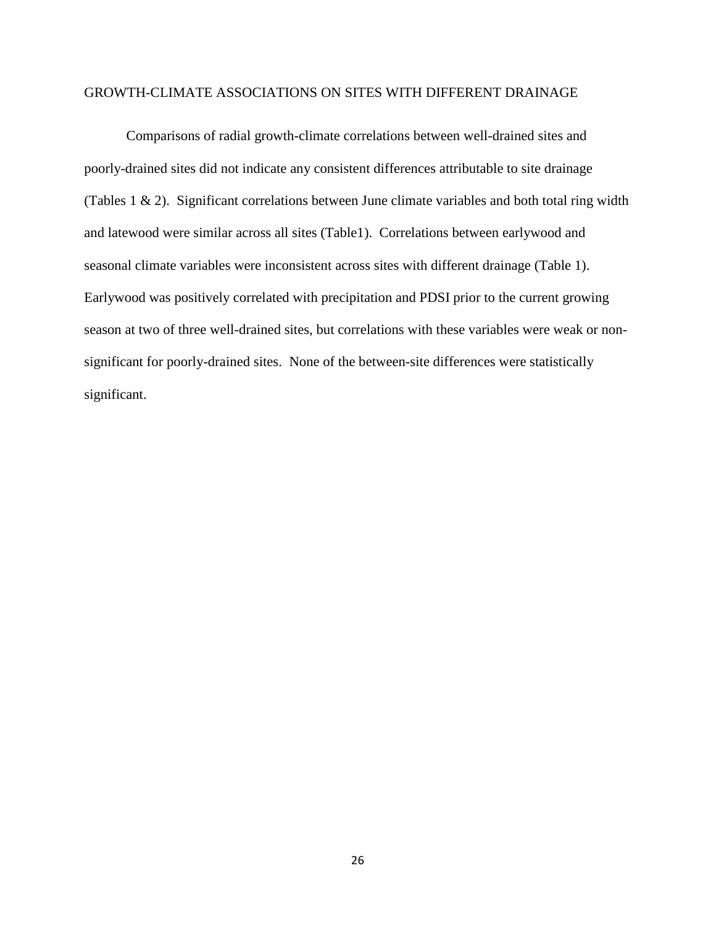## GROWTH-CLIMATE ASSOCIATIONS ON SITES WITH DIFFERENT DRAINAGE

Comparisons of radial growth-climate correlations between well-drained sites and poorly-drained sites did not indicate any consistent differences attributable to site drainage (Tables 1 & 2). Significant correlations between June climate variables and both total ring width and latewood were similar across all sites (Table1). Correlations between earlywood and seasonal climate variables were inconsistent across sites with different drainage (Table 1). Earlywood was positively correlated with precipitation and PDSI prior to the current growing season at two of three well-drained sites, but correlations with these variables were weak or nonsignificant for poorly-drained sites. None of the between-site differences were statistically significant.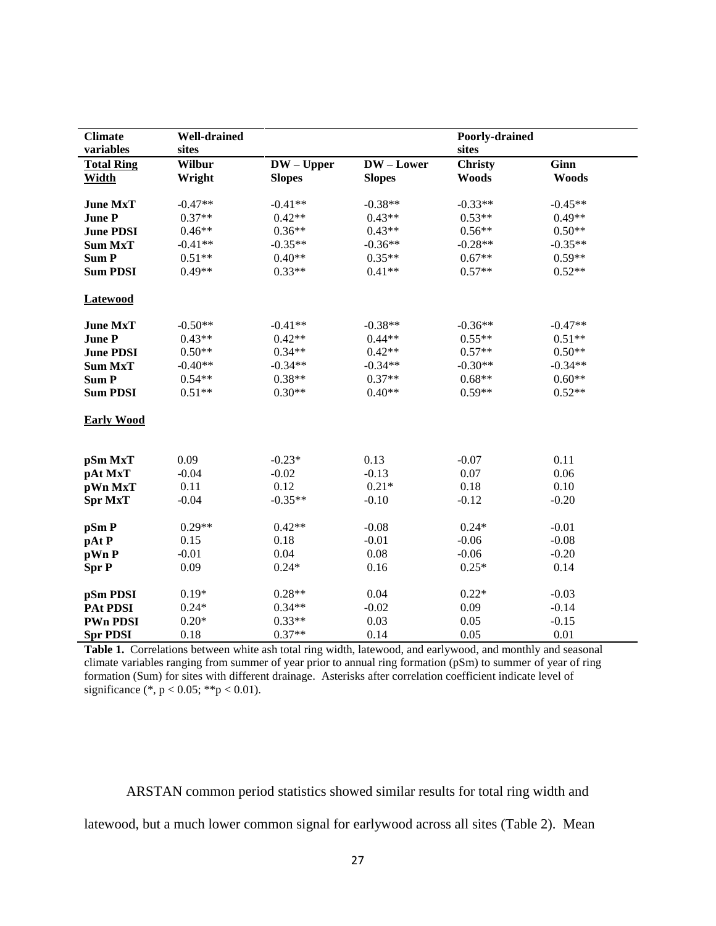| <b>Climate</b><br>variables | <b>Well-drained</b><br>sites |               |               | Poorly-drained<br>sites |              |
|-----------------------------|------------------------------|---------------|---------------|-------------------------|--------------|
| <b>Total Ring</b>           | <b>Wilbur</b>                | $DW - Upper$  | DW-Lower      | <b>Christy</b>          | <b>Ginn</b>  |
| <b>Width</b>                | Wright                       | <b>Slopes</b> | <b>Slopes</b> | <b>Woods</b>            | <b>Woods</b> |
|                             |                              |               |               |                         |              |
| <b>June MxT</b>             | $-0.47**$                    | $-0.41**$     | $-0.38**$     | $-0.33**$               | $-0.45**$    |
| <b>June P</b>               | $0.37**$                     | $0.42**$      | $0.43**$      | $0.53**$                | $0.49**$     |
| <b>June PDSI</b>            | $0.46**$                     | $0.36**$      | $0.43**$      | $0.56**$                | $0.50**$     |
| <b>Sum MxT</b>              | $-0.41**$                    | $-0.35**$     | $-0.36**$     | $-0.28**$               | $-0.35**$    |
| <b>SumP</b>                 | $0.51**$                     | $0.40**$      | $0.35**$      | $0.67**$                | $0.59**$     |
| <b>Sum PDSI</b>             | $0.49**$                     | $0.33**$      | $0.41**$      | $0.57**$                | $0.52**$     |
| <b>Latewood</b>             |                              |               |               |                         |              |
|                             |                              |               |               |                         |              |
| <b>June MxT</b>             | $-0.50**$                    | $-0.41**$     | $-0.38**$     | $-0.36**$               | $-0.47**$    |
| <b>June P</b>               | $0.43**$                     | $0.42**$      | $0.44**$      | $0.55**$                | $0.51**$     |
| <b>June PDSI</b>            | $0.50**$                     | $0.34**$      | $0.42**$      | $0.57**$                | $0.50**$     |
| <b>Sum MxT</b>              | $-0.40**$                    | $-0.34**$     | $-0.34**$     | $-0.30**$               | $-0.34**$    |
| <b>SumP</b>                 | $0.54**$                     | $0.38**$      | $0.37**$      | $0.68**$                | $0.60**$     |
| <b>Sum PDSI</b>             | $0.51**$                     | $0.30**$      | $0.40**$      | $0.59**$                | $0.52**$     |
| <b>Early Wood</b>           |                              |               |               |                         |              |
| pSm MxT                     | 0.09                         | $-0.23*$      | 0.13          | $-0.07$                 | 0.11         |
| pAt MxT                     | $-0.04$                      | $-0.02$       | $-0.13$       | 0.07                    | 0.06         |
| pWn MxT                     | 0.11                         | 0.12          | $0.21*$       | 0.18                    | 0.10         |
| <b>Spr MxT</b>              | $-0.04$                      | $-0.35**$     | $-0.10$       | $-0.12$                 | $-0.20$      |
|                             |                              |               |               |                         |              |
| pSm P                       | $0.29**$                     | $0.42**$      | $-0.08$       | $0.24*$                 | $-0.01$      |
| pAt P                       | 0.15                         | 0.18          | $-0.01$       | $-0.06$                 | $-0.08$      |
| pWn P                       | $-0.01$                      | 0.04          | 0.08          | $-0.06$                 | $-0.20$      |
| <b>Spr P</b>                | 0.09                         | $0.24*$       | 0.16          | $0.25*$                 | 0.14         |
| pSm PDSI                    | $0.19*$                      | $0.28**$      | 0.04          | $0.22*$                 | $-0.03$      |
| <b>PAt PDSI</b>             | $0.24*$                      | $0.34**$      | $-0.02$       | 0.09                    | $-0.14$      |
| <b>PWn PDSI</b>             | $0.20*$                      | $0.33**$      | 0.03          | 0.05                    | $-0.15$      |
| <b>Spr PDSI</b>             | 0.18                         | $0.37**$      | 0.14          | 0.05                    | 0.01         |

**Table 1.** Correlations between white ash total ring width, latewood, and earlywood, and monthly and seasonal climate variables ranging from summer of year prior to annual ring formation (pSm) to summer of year of ring formation (Sum) for sites with different drainage. Asterisks after correlation coefficient indicate level of significance (\*, p < 0.05; \*\*p < 0.01).

ARSTAN common period statistics showed similar results for total ring width and latewood, but a much lower common signal for earlywood across all sites (Table 2). Mean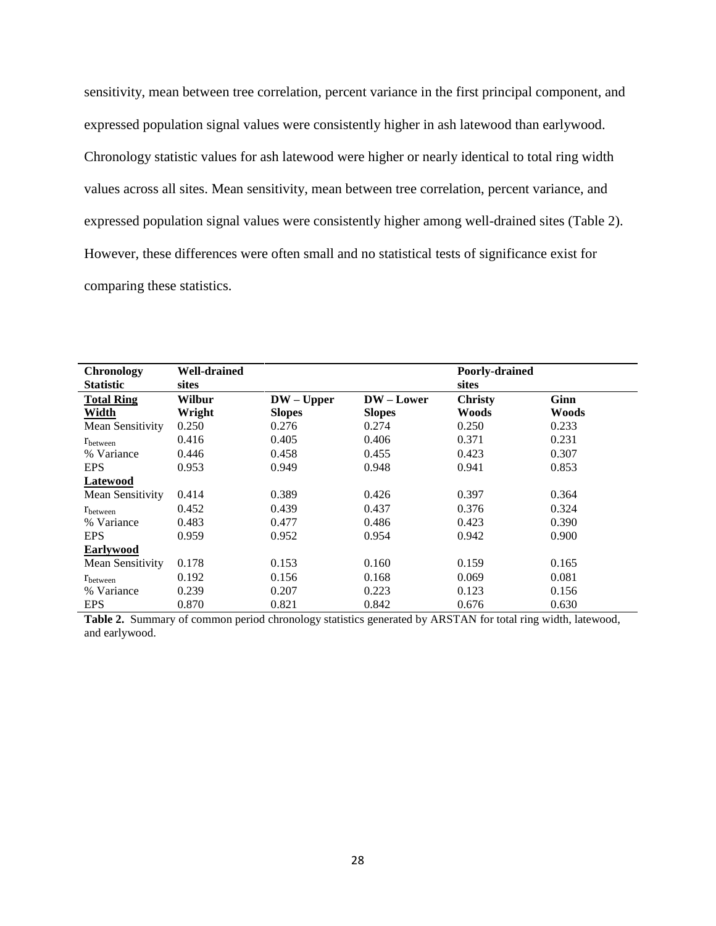sensitivity, mean between tree correlation, percent variance in the first principal component, and expressed population signal values were consistently higher in ash latewood than earlywood. Chronology statistic values for ash latewood were higher or nearly identical to total ring width values across all sites. Mean sensitivity, mean between tree correlation, percent variance, and expressed population signal values were consistently higher among well-drained sites (Table 2). However, these differences were often small and no statistical tests of significance exist for comparing these statistics.

| <b>Chronology</b> | <b>Well-drained</b> |               |               | Poorly-drained |              |
|-------------------|---------------------|---------------|---------------|----------------|--------------|
| <b>Statistic</b>  | sites               |               |               | sites          |              |
| <b>Total Ring</b> | <b>Wilbur</b>       | $DW - Upper$  | $DW$ – Lower  | <b>Christy</b> | Ginn         |
| Width             | Wright              | <b>Slopes</b> | <b>Slopes</b> | Woods          | <b>Woods</b> |
| Mean Sensitivity  | 0.250               | 0.276         | 0.274         | 0.250          | 0.233        |
| <b>T</b> between  | 0.416               | 0.405         | 0.406         | 0.371          | 0.231        |
| % Variance        | 0.446               | 0.458         | 0.455         | 0.423          | 0.307        |
| <b>EPS</b>        | 0.953               | 0.949         | 0.948         | 0.941          | 0.853        |
| Latewood          |                     |               |               |                |              |
| Mean Sensitivity  | 0.414               | 0.389         | 0.426         | 0.397          | 0.364        |
| $r_{between}$     | 0.452               | 0.439         | 0.437         | 0.376          | 0.324        |
| % Variance        | 0.483               | 0.477         | 0.486         | 0.423          | 0.390        |
| <b>EPS</b>        | 0.959               | 0.952         | 0.954         | 0.942          | 0.900        |
| Earlywood         |                     |               |               |                |              |
| Mean Sensitivity  | 0.178               | 0.153         | 0.160         | 0.159          | 0.165        |
| $r_{between}$     | 0.192               | 0.156         | 0.168         | 0.069          | 0.081        |
| % Variance        | 0.239               | 0.207         | 0.223         | 0.123          | 0.156        |
| <b>EPS</b>        | 0.870               | 0.821         | 0.842         | 0.676          | 0.630        |

**Table 2.** Summary of common period chronology statistics generated by ARSTAN for total ring width, latewood, and earlywood.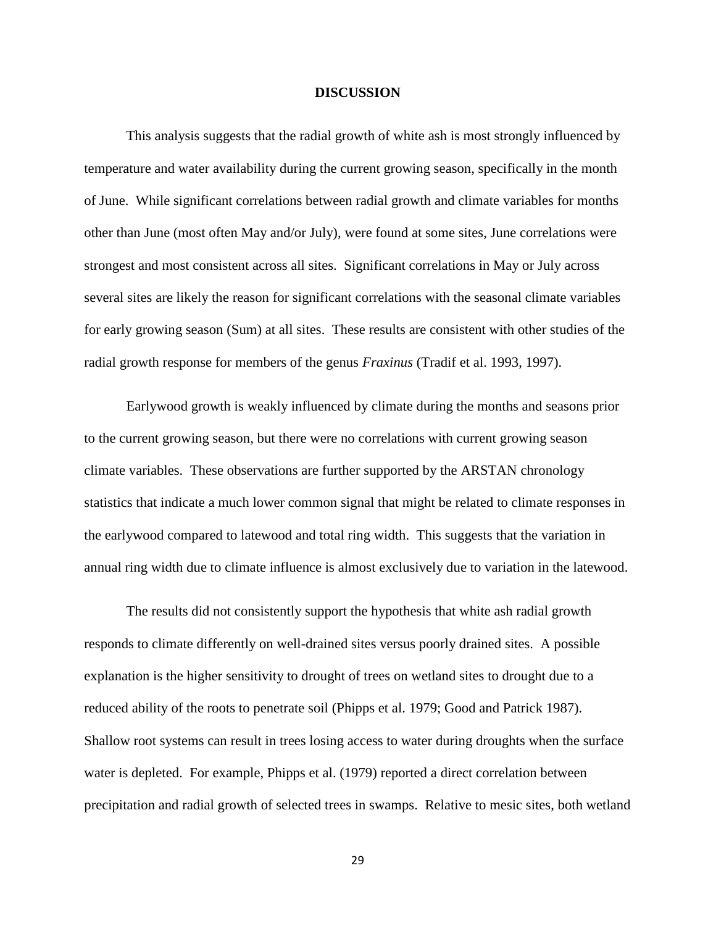#### **DISCUSSION**

This analysis suggests that the radial growth of white ash is most strongly influenced by temperature and water availability during the current growing season, specifically in the month of June. While significant correlations between radial growth and climate variables for months other than June (most often May and/or July), were found at some sites, June correlations were strongest and most consistent across all sites. Significant correlations in May or July across several sites are likely the reason for significant correlations with the seasonal climate variables for early growing season (Sum) at all sites. These results are consistent with other studies of the radial growth response for members of the genus *Fraxinus* (Tradif et al. 1993, 1997).

Earlywood growth is weakly influenced by climate during the months and seasons prior to the current growing season, but there were no correlations with current growing season climate variables. These observations are further supported by the ARSTAN chronology statistics that indicate a much lower common signal that might be related to climate responses in the earlywood compared to latewood and total ring width. This suggests that the variation in annual ring width due to climate influence is almost exclusively due to variation in the latewood.

The results did not consistently support the hypothesis that white ash radial growth responds to climate differently on well-drained sites versus poorly drained sites. A possible explanation is the higher sensitivity to drought of trees on wetland sites to drought due to a reduced ability of the roots to penetrate soil (Phipps et al. 1979; Good and Patrick 1987). Shallow root systems can result in trees losing access to water during droughts when the surface water is depleted. For example, Phipps et al. (1979) reported a direct correlation between precipitation and radial growth of selected trees in swamps. Relative to mesic sites, both wetland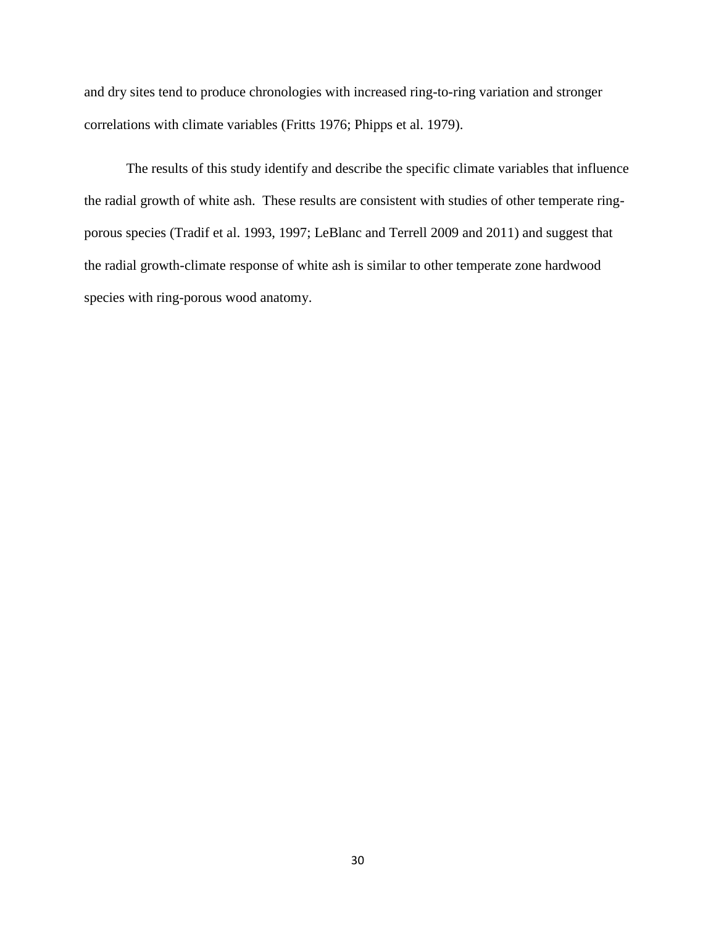and dry sites tend to produce chronologies with increased ring-to-ring variation and stronger correlations with climate variables (Fritts 1976; Phipps et al. 1979).

The results of this study identify and describe the specific climate variables that influence the radial growth of white ash. These results are consistent with studies of other temperate ringporous species (Tradif et al. 1993, 1997; LeBlanc and Terrell 2009 and 2011) and suggest that the radial growth-climate response of white ash is similar to other temperate zone hardwood species with ring-porous wood anatomy.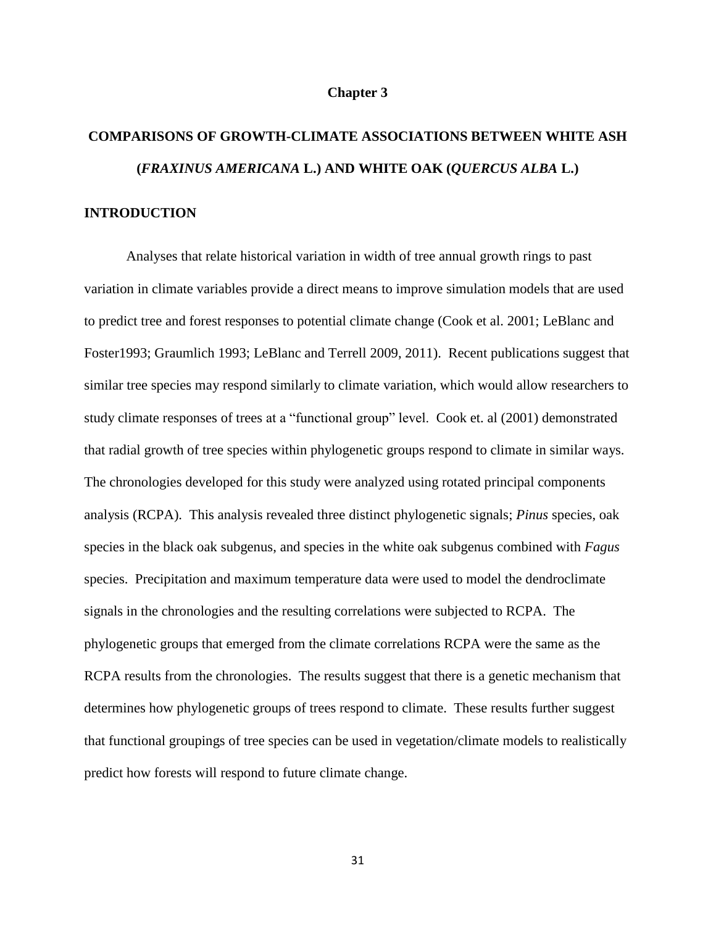#### **Chapter 3**

# **COMPARISONS OF GROWTH-CLIMATE ASSOCIATIONS BETWEEN WHITE ASH (***FRAXINUS AMERICANA* **L.) AND WHITE OAK (***QUERCUS ALBA* **L.) INTRODUCTION**

Analyses that relate historical variation in width of tree annual growth rings to past variation in climate variables provide a direct means to improve simulation models that are used to predict tree and forest responses to potential climate change (Cook et al. 2001; LeBlanc and Foster1993; Graumlich 1993; LeBlanc and Terrell 2009, 2011). Recent publications suggest that similar tree species may respond similarly to climate variation, which would allow researchers to study climate responses of trees at a "functional group" level. Cook et. al (2001) demonstrated that radial growth of tree species within phylogenetic groups respond to climate in similar ways. The chronologies developed for this study were analyzed using rotated principal components analysis (RCPA). This analysis revealed three distinct phylogenetic signals; *Pinus* species, oak species in the black oak subgenus, and species in the white oak subgenus combined with *Fagus* species. Precipitation and maximum temperature data were used to model the dendroclimate signals in the chronologies and the resulting correlations were subjected to RCPA. The phylogenetic groups that emerged from the climate correlations RCPA were the same as the RCPA results from the chronologies. The results suggest that there is a genetic mechanism that determines how phylogenetic groups of trees respond to climate. These results further suggest that functional groupings of tree species can be used in vegetation/climate models to realistically predict how forests will respond to future climate change.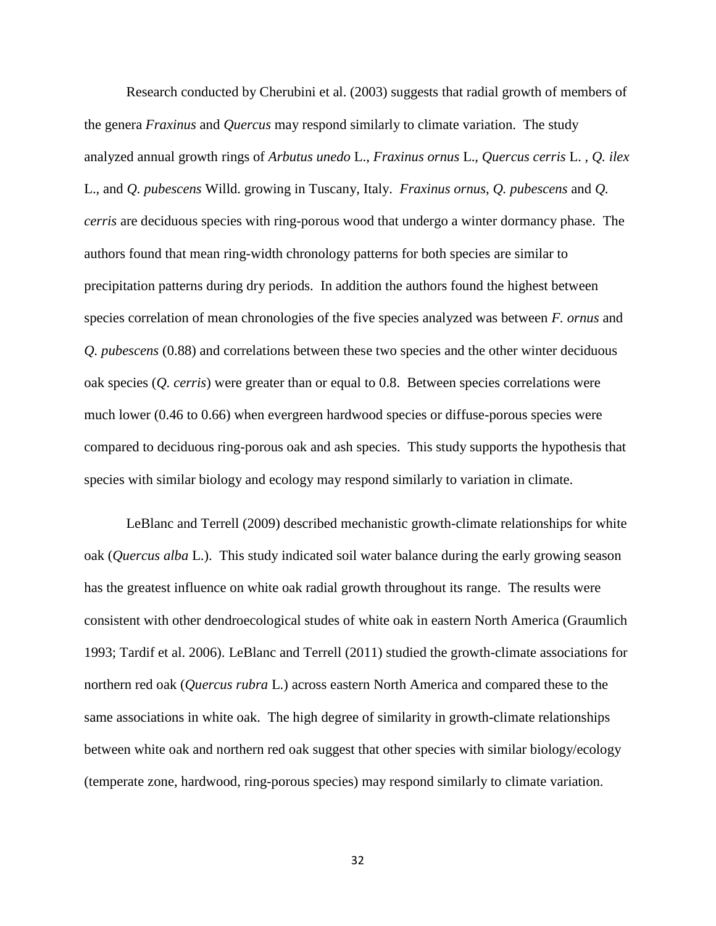Research conducted by Cherubini et al. (2003) suggests that radial growth of members of the genera *Fraxinus* and *Quercus* may respond similarly to climate variation. The study analyzed annual growth rings of *Arbutus unedo* L., *Fraxinus ornus* L.*, Quercus cerris* L. *, Q. ilex*  L.*,* and *Q. pubescens* Willd. growing in Tuscany, Italy. *Fraxinus ornus*, *Q. pubescens* and *Q. cerris* are deciduous species with ring-porous wood that undergo a winter dormancy phase. The authors found that mean ring-width chronology patterns for both species are similar to precipitation patterns during dry periods. In addition the authors found the highest between species correlation of mean chronologies of the five species analyzed was between *F. ornus* and *Q. pubescens* (0.88) and correlations between these two species and the other winter deciduous oak species (*Q. cerris*) were greater than or equal to 0.8. Between species correlations were much lower (0.46 to 0.66) when evergreen hardwood species or diffuse-porous species were compared to deciduous ring-porous oak and ash species. This study supports the hypothesis that species with similar biology and ecology may respond similarly to variation in climate.

LeBlanc and Terrell (2009) described mechanistic growth-climate relationships for white oak (*Quercus alba* L.). This study indicated soil water balance during the early growing season has the greatest influence on white oak radial growth throughout its range. The results were consistent with other dendroecological studes of white oak in eastern North America (Graumlich 1993; Tardif et al. 2006). LeBlanc and Terrell (2011) studied the growth-climate associations for northern red oak (*Quercus rubra* L.) across eastern North America and compared these to the same associations in white oak. The high degree of similarity in growth-climate relationships between white oak and northern red oak suggest that other species with similar biology/ecology (temperate zone, hardwood, ring-porous species) may respond similarly to climate variation.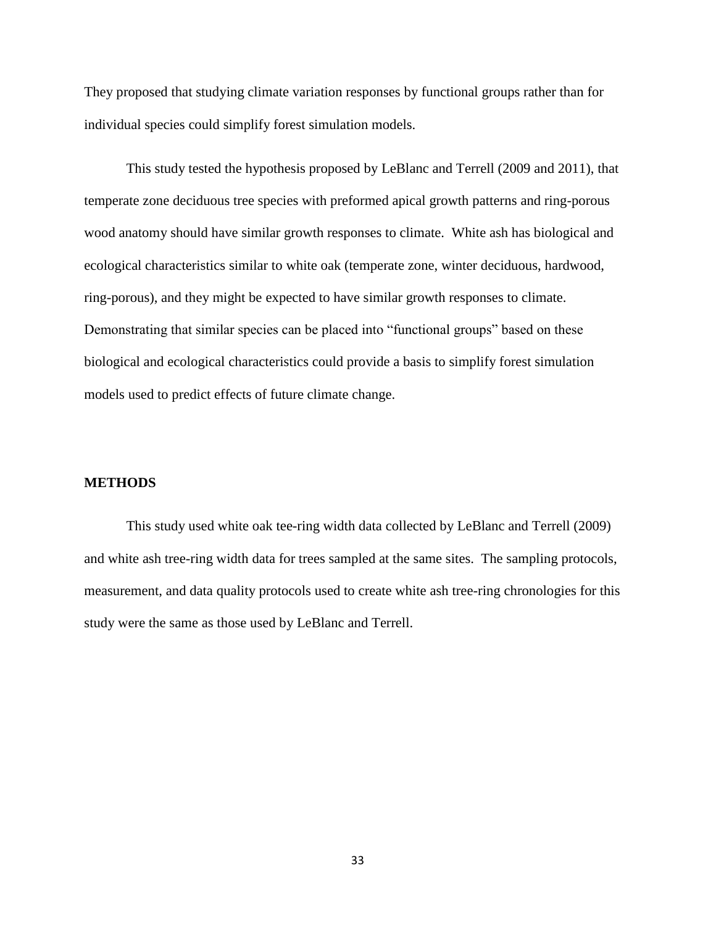They proposed that studying climate variation responses by functional groups rather than for individual species could simplify forest simulation models.

This study tested the hypothesis proposed by LeBlanc and Terrell (2009 and 2011), that temperate zone deciduous tree species with preformed apical growth patterns and ring-porous wood anatomy should have similar growth responses to climate. White ash has biological and ecological characteristics similar to white oak (temperate zone, winter deciduous, hardwood, ring-porous), and they might be expected to have similar growth responses to climate. Demonstrating that similar species can be placed into "functional groups" based on these biological and ecological characteristics could provide a basis to simplify forest simulation models used to predict effects of future climate change.

#### **METHODS**

This study used white oak tee-ring width data collected by LeBlanc and Terrell (2009) and white ash tree-ring width data for trees sampled at the same sites. The sampling protocols, measurement, and data quality protocols used to create white ash tree-ring chronologies for this study were the same as those used by LeBlanc and Terrell.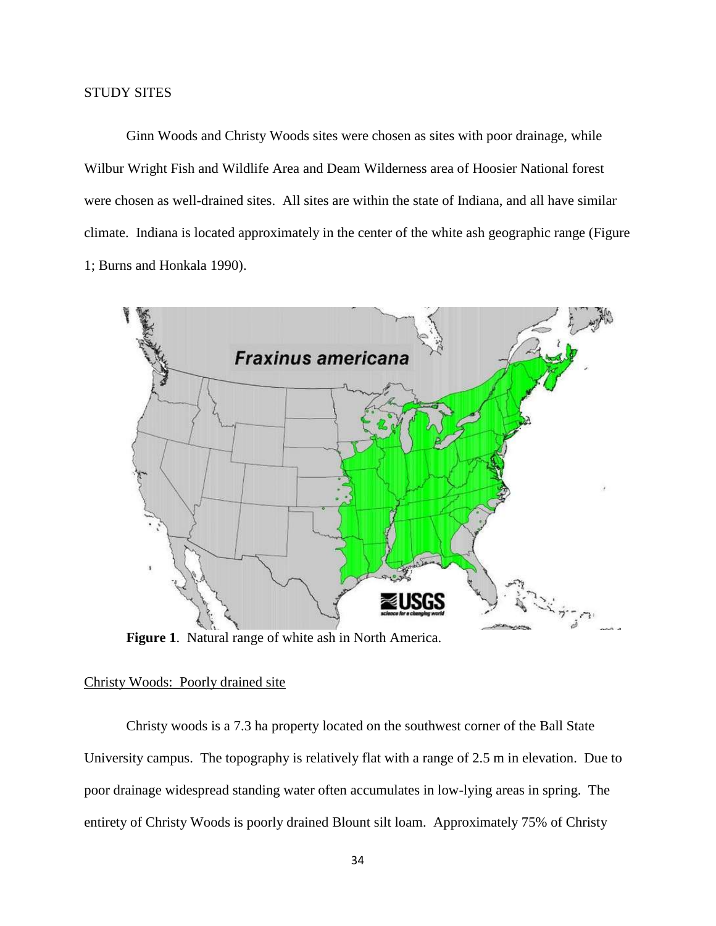Ginn Woods and Christy Woods sites were chosen as sites with poor drainage, while Wilbur Wright Fish and Wildlife Area and Deam Wilderness area of Hoosier National forest were chosen as well-drained sites. All sites are within the state of Indiana, and all have similar climate. Indiana is located approximately in the center of the white ash geographic range (Figure 1; Burns and Honkala 1990).



**Figure 1**. Natural range of white ash in North America.

#### Christy Woods: Poorly drained site

Christy woods is a 7.3 ha property located on the southwest corner of the Ball State University campus. The topography is relatively flat with a range of 2.5 m in elevation. Due to poor drainage widespread standing water often accumulates in low-lying areas in spring. The entirety of Christy Woods is poorly drained Blount silt loam. Approximately 75% of Christy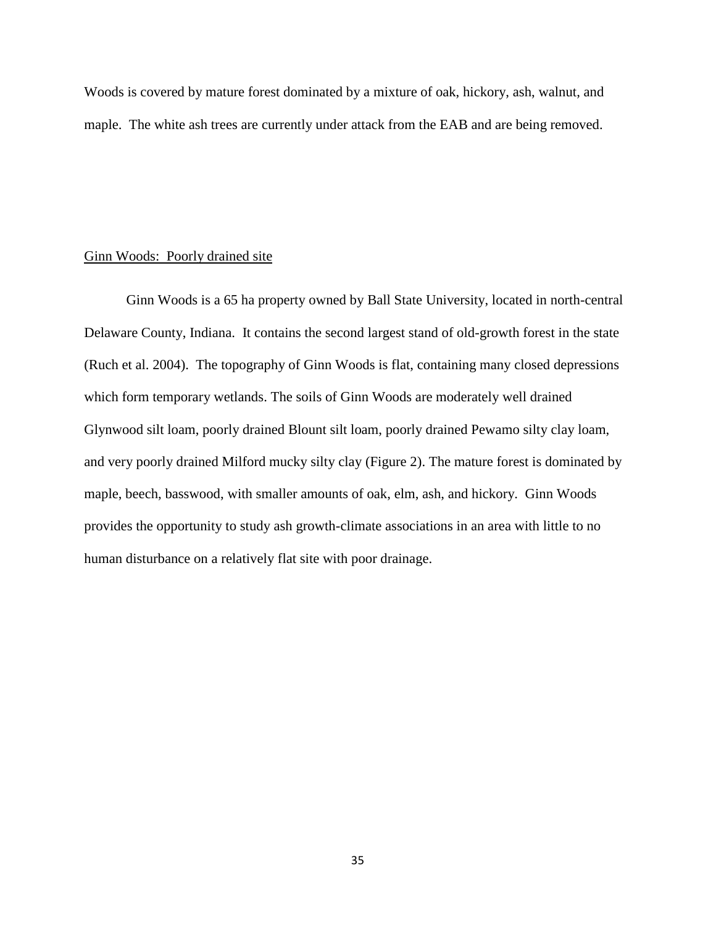Woods is covered by mature forest dominated by a mixture of oak, hickory, ash, walnut, and maple. The white ash trees are currently under attack from the EAB and are being removed.

#### Ginn Woods: Poorly drained site

Ginn Woods is a 65 ha property owned by Ball State University, located in north-central Delaware County, Indiana. It contains the second largest stand of old-growth forest in the state (Ruch et al. 2004). The topography of Ginn Woods is flat, containing many closed depressions which form temporary wetlands. The soils of Ginn Woods are moderately well drained Glynwood silt loam, poorly drained Blount silt loam, poorly drained Pewamo silty clay loam, and very poorly drained Milford mucky silty clay (Figure 2). The mature forest is dominated by maple, beech, basswood, with smaller amounts of oak, elm, ash, and hickory. Ginn Woods provides the opportunity to study ash growth-climate associations in an area with little to no human disturbance on a relatively flat site with poor drainage.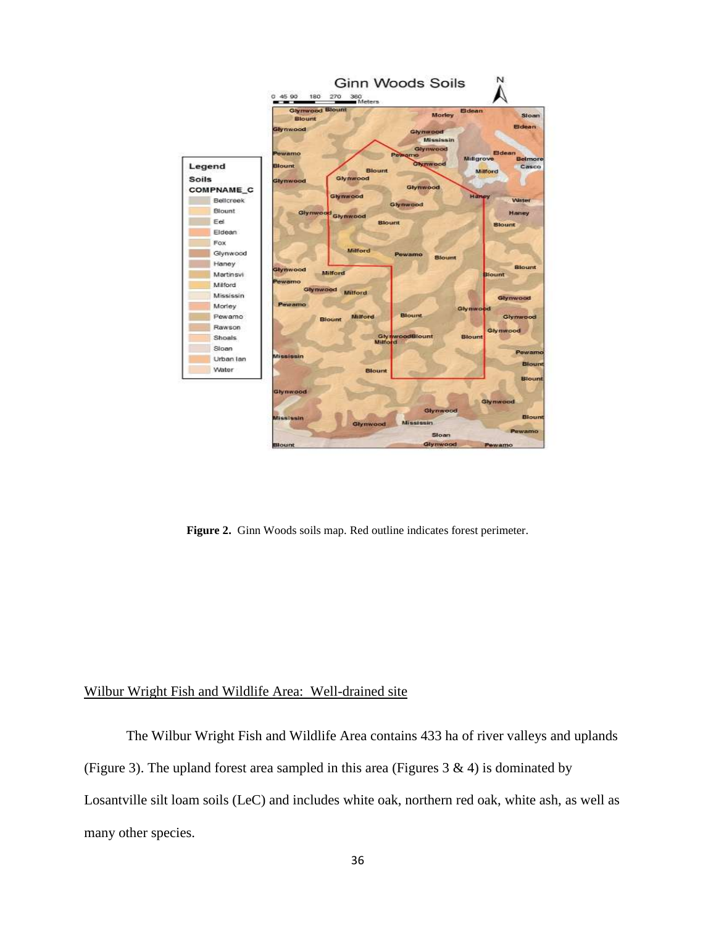

**Figure 2.** Ginn Woods soils map. Red outline indicates forest perimeter.

## Wilbur Wright Fish and Wildlife Area: Well-drained site

The Wilbur Wright Fish and Wildlife Area contains 433 ha of river valleys and uplands (Figure 3). The upland forest area sampled in this area (Figures  $3 \& 4$ ) is dominated by Losantville silt loam soils (LeC) and includes white oak, northern red oak, white ash, as well as many other species.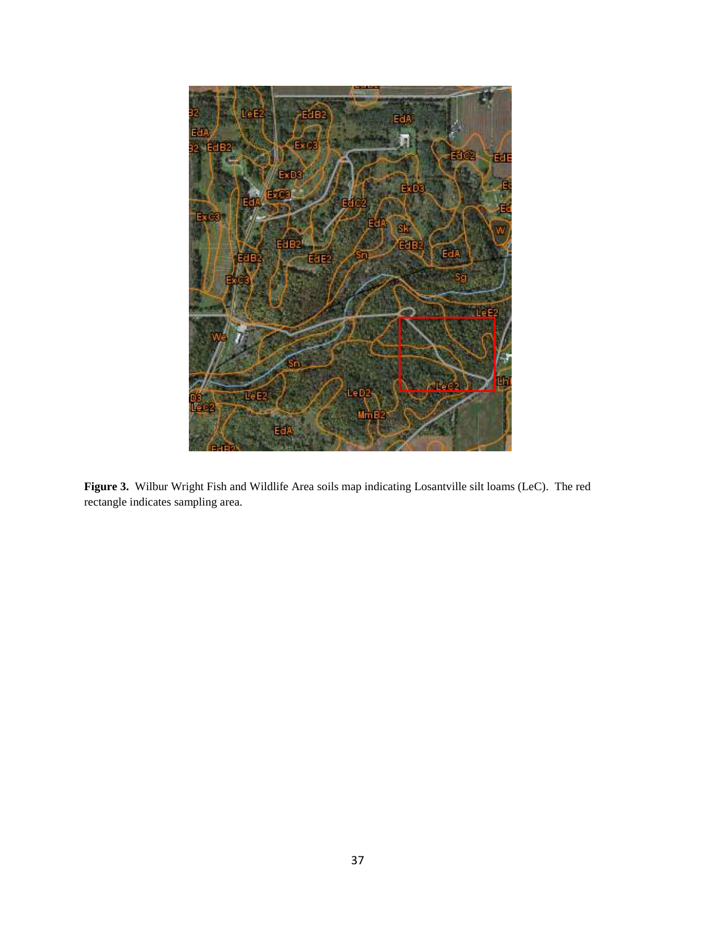

**Figure 3.** Wilbur Wright Fish and Wildlife Area soils map indicating Losantville silt loams (LeC). The red rectangle indicates sampling area.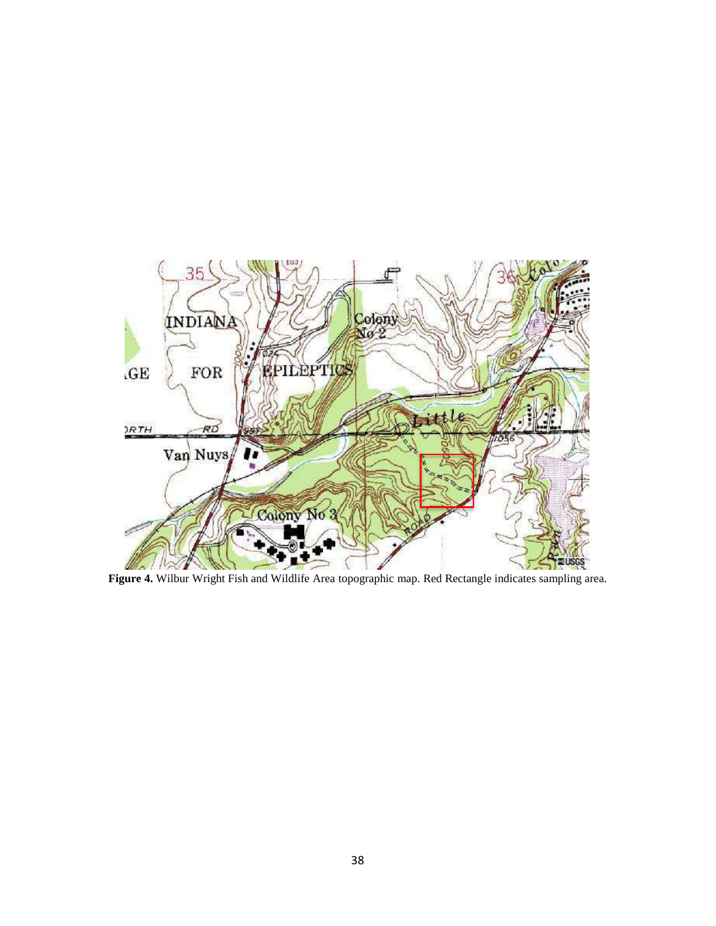

**Figure 4.** Wilbur Wright Fish and Wildlife Area topographic map. Red Rectangle indicates sampling area.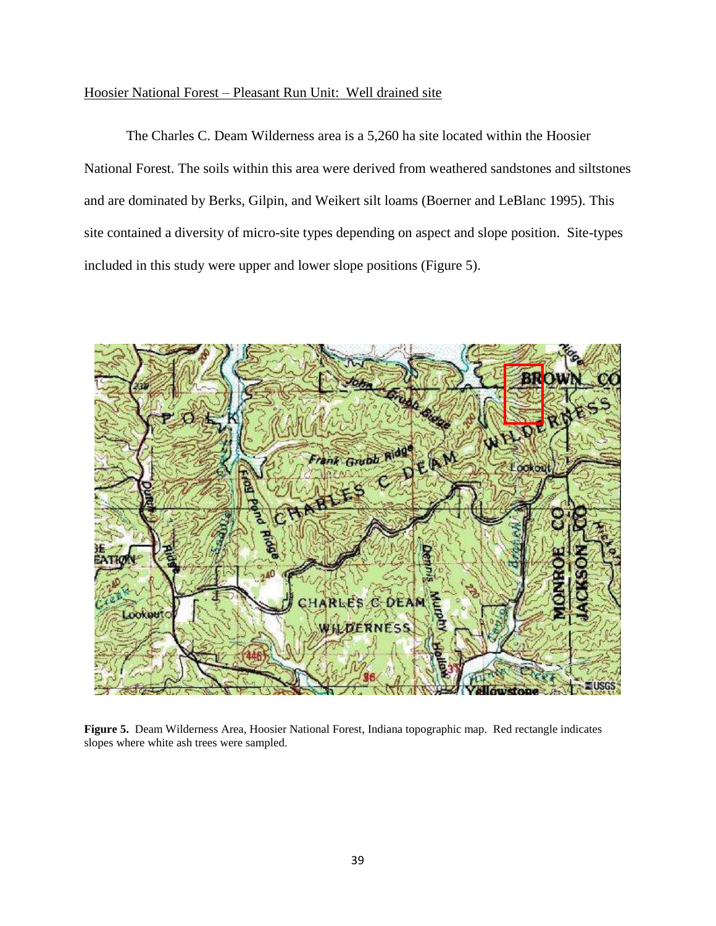#### Hoosier National Forest – Pleasant Run Unit: Well drained site

The Charles C. Deam Wilderness area is a 5,260 ha site located within the Hoosier National Forest. The soils within this area were derived from weathered sandstones and siltstones and are dominated by Berks, Gilpin, and Weikert silt loams (Boerner and LeBlanc 1995). This site contained a diversity of micro-site types depending on aspect and slope position. Site-types included in this study were upper and lower slope positions (Figure 5).



**Figure 5.** Deam Wilderness Area, Hoosier National Forest, Indiana topographic map. Red rectangle indicates slopes where white ash trees were sampled.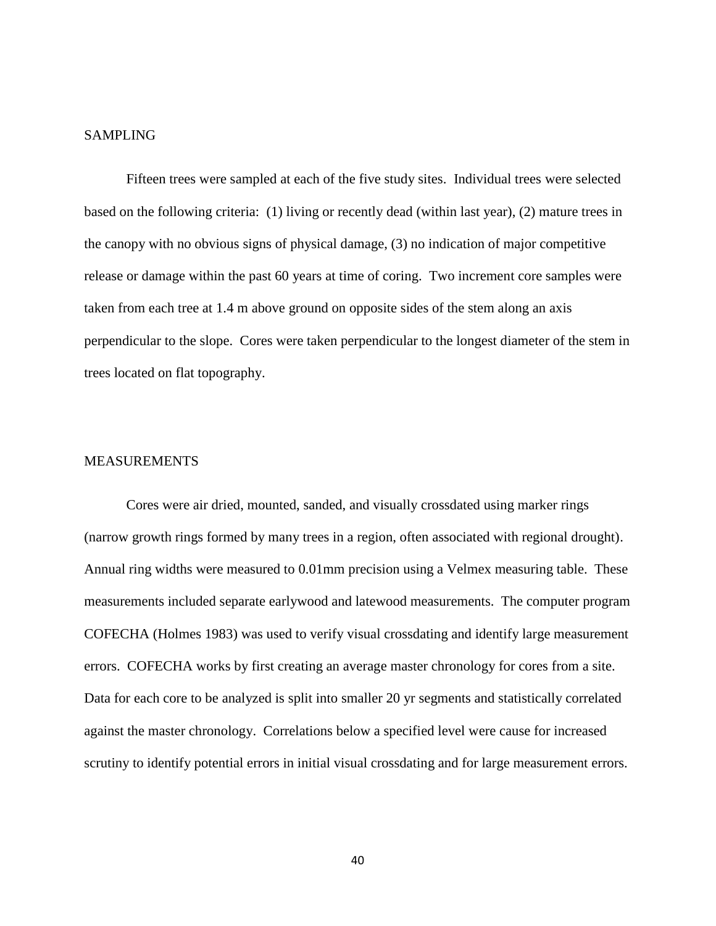#### SAMPLING

Fifteen trees were sampled at each of the five study sites. Individual trees were selected based on the following criteria: (1) living or recently dead (within last year), (2) mature trees in the canopy with no obvious signs of physical damage, (3) no indication of major competitive release or damage within the past 60 years at time of coring. Two increment core samples were taken from each tree at 1.4 m above ground on opposite sides of the stem along an axis perpendicular to the slope. Cores were taken perpendicular to the longest diameter of the stem in trees located on flat topography.

#### MEASUREMENTS

Cores were air dried, mounted, sanded, and visually crossdated using marker rings (narrow growth rings formed by many trees in a region, often associated with regional drought). Annual ring widths were measured to 0.01mm precision using a Velmex measuring table. These measurements included separate earlywood and latewood measurements. The computer program COFECHA (Holmes 1983) was used to verify visual crossdating and identify large measurement errors. COFECHA works by first creating an average master chronology for cores from a site. Data for each core to be analyzed is split into smaller 20 yr segments and statistically correlated against the master chronology. Correlations below a specified level were cause for increased scrutiny to identify potential errors in initial visual crossdating and for large measurement errors.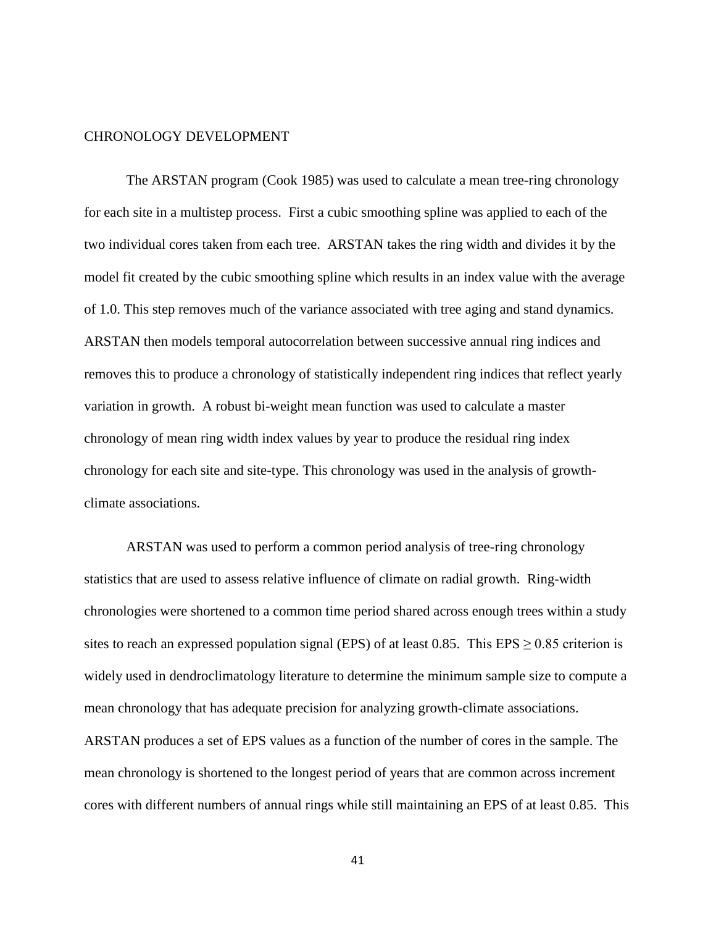#### CHRONOLOGY DEVELOPMENT

The ARSTAN program (Cook 1985) was used to calculate a mean tree-ring chronology for each site in a multistep process. First a cubic smoothing spline was applied to each of the two individual cores taken from each tree. ARSTAN takes the ring width and divides it by the model fit created by the cubic smoothing spline which results in an index value with the average of 1.0. This step removes much of the variance associated with tree aging and stand dynamics. ARSTAN then models temporal autocorrelation between successive annual ring indices and removes this to produce a chronology of statistically independent ring indices that reflect yearly variation in growth. A robust bi-weight mean function was used to calculate a master chronology of mean ring width index values by year to produce the residual ring index chronology for each site and site-type. This chronology was used in the analysis of growthclimate associations.

ARSTAN was used to perform a common period analysis of tree-ring chronology statistics that are used to assess relative influence of climate on radial growth. Ring-width chronologies were shortened to a common time period shared across enough trees within a study sites to reach an expressed population signal (EPS) of at least 0.85. This  $EPS \ge 0.85$  criterion is widely used in dendroclimatology literature to determine the minimum sample size to compute a mean chronology that has adequate precision for analyzing growth-climate associations. ARSTAN produces a set of EPS values as a function of the number of cores in the sample. The mean chronology is shortened to the longest period of years that are common across increment cores with different numbers of annual rings while still maintaining an EPS of at least 0.85. This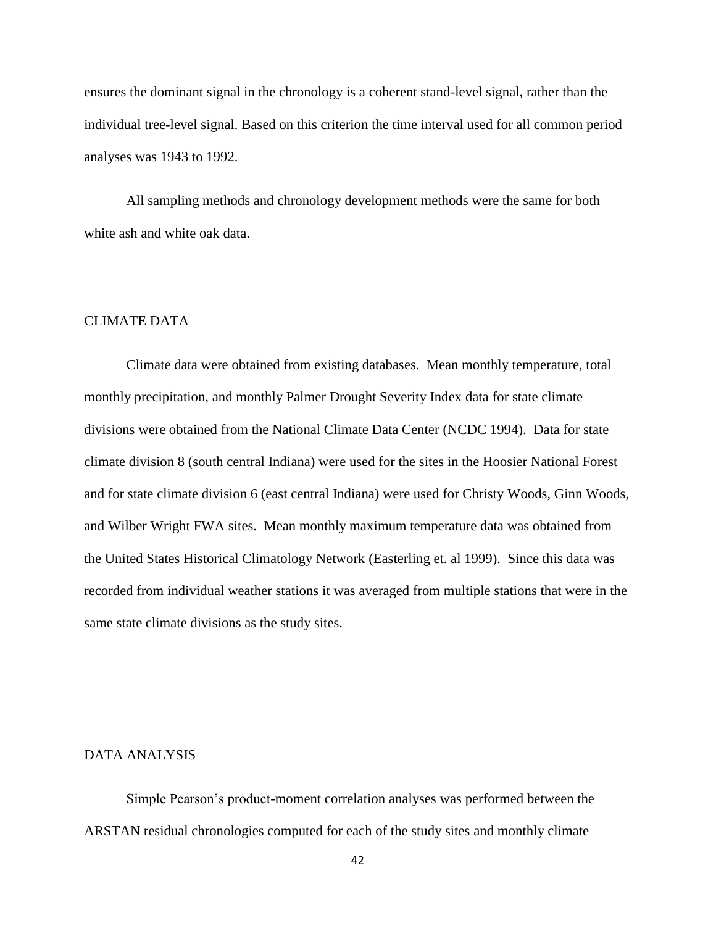ensures the dominant signal in the chronology is a coherent stand-level signal, rather than the individual tree-level signal. Based on this criterion the time interval used for all common period analyses was 1943 to 1992.

All sampling methods and chronology development methods were the same for both white ash and white oak data.

#### CLIMATE DATA

Climate data were obtained from existing databases. Mean monthly temperature, total monthly precipitation, and monthly Palmer Drought Severity Index data for state climate divisions were obtained from the National Climate Data Center (NCDC 1994). Data for state climate division 8 (south central Indiana) were used for the sites in the Hoosier National Forest and for state climate division 6 (east central Indiana) were used for Christy Woods, Ginn Woods, and Wilber Wright FWA sites. Mean monthly maximum temperature data was obtained from the United States Historical Climatology Network (Easterling et. al 1999). Since this data was recorded from individual weather stations it was averaged from multiple stations that were in the same state climate divisions as the study sites.

#### DATA ANALYSIS

Simple Pearson's product-moment correlation analyses was performed between the ARSTAN residual chronologies computed for each of the study sites and monthly climate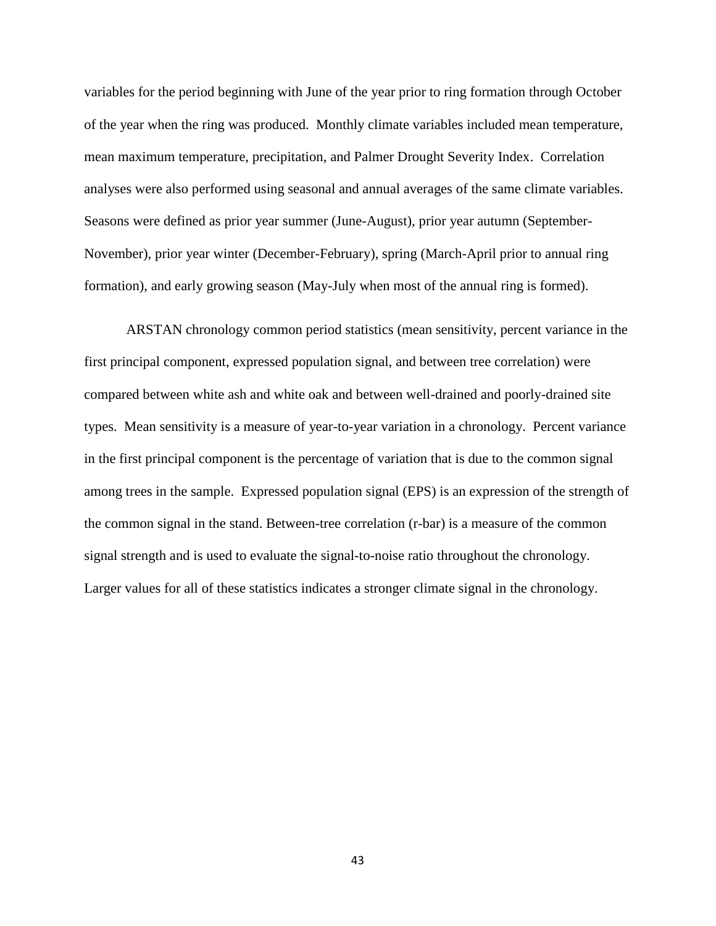variables for the period beginning with June of the year prior to ring formation through October of the year when the ring was produced. Monthly climate variables included mean temperature, mean maximum temperature, precipitation, and Palmer Drought Severity Index. Correlation analyses were also performed using seasonal and annual averages of the same climate variables. Seasons were defined as prior year summer (June-August), prior year autumn (September-November), prior year winter (December-February), spring (March-April prior to annual ring formation), and early growing season (May-July when most of the annual ring is formed).

ARSTAN chronology common period statistics (mean sensitivity, percent variance in the first principal component, expressed population signal, and between tree correlation) were compared between white ash and white oak and between well-drained and poorly-drained site types. Mean sensitivity is a measure of year-to-year variation in a chronology. Percent variance in the first principal component is the percentage of variation that is due to the common signal among trees in the sample. Expressed population signal (EPS) is an expression of the strength of the common signal in the stand. Between-tree correlation (r-bar) is a measure of the common signal strength and is used to evaluate the signal-to-noise ratio throughout the chronology. Larger values for all of these statistics indicates a stronger climate signal in the chronology.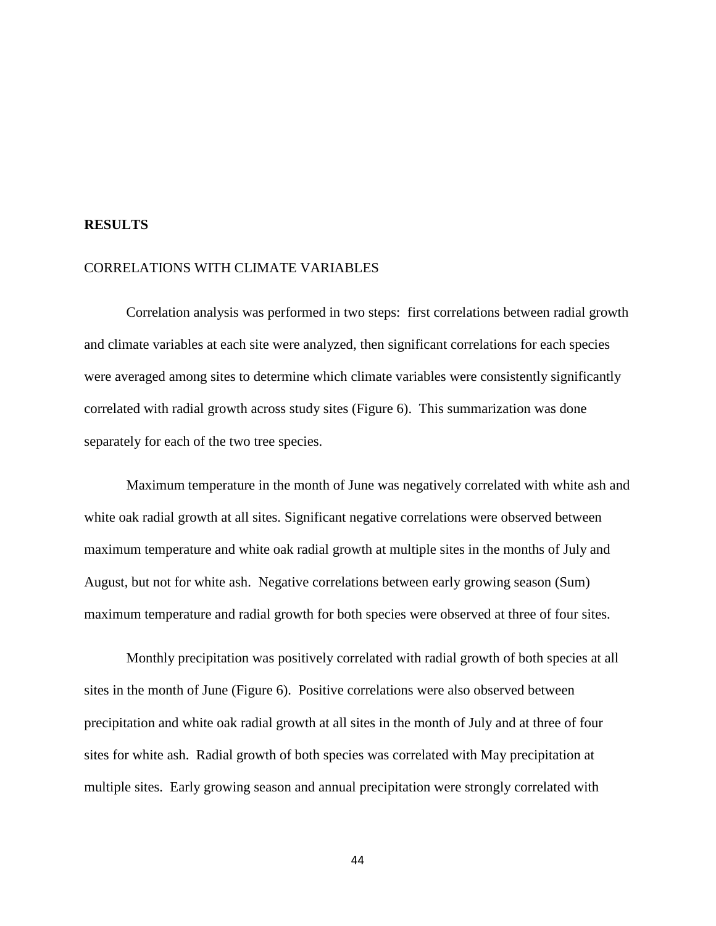#### **RESULTS**

#### CORRELATIONS WITH CLIMATE VARIABLES

Correlation analysis was performed in two steps: first correlations between radial growth and climate variables at each site were analyzed, then significant correlations for each species were averaged among sites to determine which climate variables were consistently significantly correlated with radial growth across study sites (Figure 6). This summarization was done separately for each of the two tree species.

Maximum temperature in the month of June was negatively correlated with white ash and white oak radial growth at all sites. Significant negative correlations were observed between maximum temperature and white oak radial growth at multiple sites in the months of July and August, but not for white ash. Negative correlations between early growing season (Sum) maximum temperature and radial growth for both species were observed at three of four sites.

Monthly precipitation was positively correlated with radial growth of both species at all sites in the month of June (Figure 6). Positive correlations were also observed between precipitation and white oak radial growth at all sites in the month of July and at three of four sites for white ash. Radial growth of both species was correlated with May precipitation at multiple sites. Early growing season and annual precipitation were strongly correlated with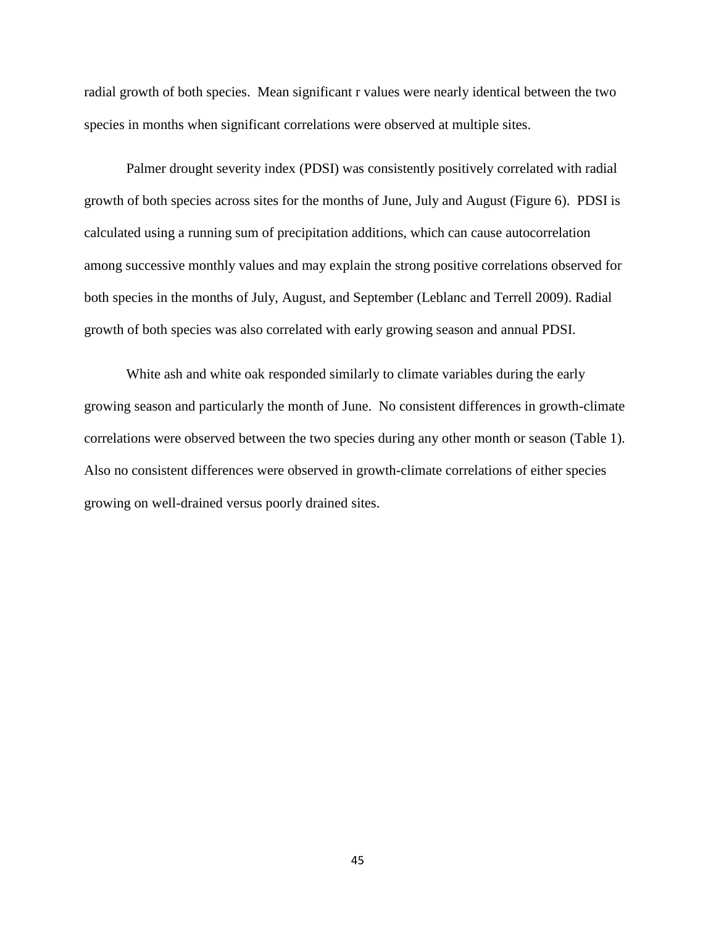radial growth of both species. Mean significant r values were nearly identical between the two species in months when significant correlations were observed at multiple sites.

Palmer drought severity index (PDSI) was consistently positively correlated with radial growth of both species across sites for the months of June, July and August (Figure 6). PDSI is calculated using a running sum of precipitation additions, which can cause autocorrelation among successive monthly values and may explain the strong positive correlations observed for both species in the months of July, August, and September (Leblanc and Terrell 2009). Radial growth of both species was also correlated with early growing season and annual PDSI.

White ash and white oak responded similarly to climate variables during the early growing season and particularly the month of June. No consistent differences in growth-climate correlations were observed between the two species during any other month or season (Table 1). Also no consistent differences were observed in growth-climate correlations of either species growing on well-drained versus poorly drained sites.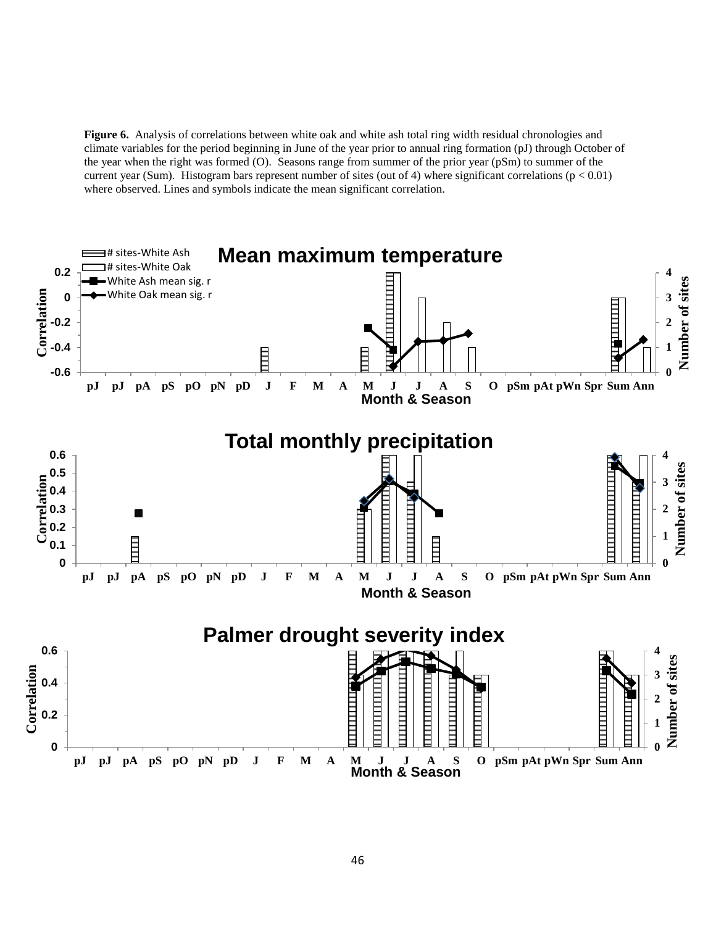**Figure 6.** Analysis of correlations between white oak and white ash total ring width residual chronologies and climate variables for the period beginning in June of the year prior to annual ring formation (pJ) through October of the year when the right was formed (O). Seasons range from summer of the prior year (pSm) to summer of the current year (Sum). Histogram bars represent number of sites (out of 4) where significant correlations ( $p < 0.01$ ) where observed. Lines and symbols indicate the mean significant correlation.

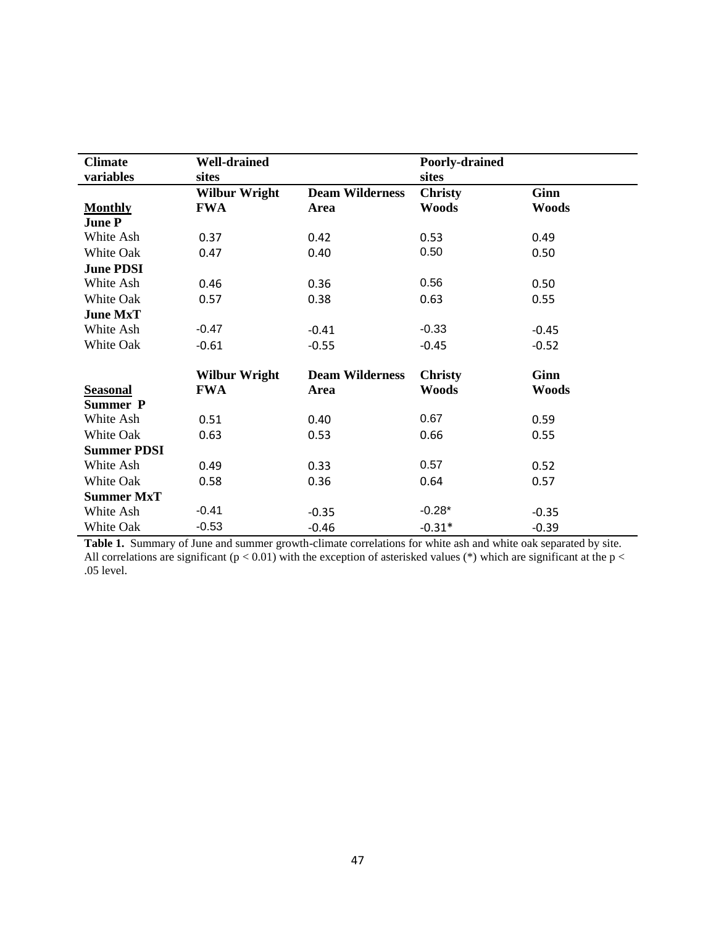| <b>Climate</b>     | <b>Well-drained</b>  |                        | Poorly-drained |              |
|--------------------|----------------------|------------------------|----------------|--------------|
| variables          | sites                |                        | sites          |              |
|                    | <b>Wilbur Wright</b> | <b>Deam Wilderness</b> | <b>Christy</b> | Ginn         |
| <b>Monthly</b>     | <b>FWA</b>           | Area                   | <b>Woods</b>   | <b>Woods</b> |
| <b>June P</b>      |                      |                        |                |              |
| White Ash          | 0.37                 | 0.42                   | 0.53           | 0.49         |
| White Oak          | 0.47                 | 0.40                   | 0.50           | 0.50         |
| <b>June PDSI</b>   |                      |                        |                |              |
| White Ash          | 0.46                 | 0.36                   | 0.56           | 0.50         |
| White Oak          | 0.57                 | 0.38                   | 0.63           | 0.55         |
| <b>June MxT</b>    |                      |                        |                |              |
| White Ash          | $-0.47$              | $-0.41$                | $-0.33$        | $-0.45$      |
| White Oak          | $-0.61$              | $-0.55$                | $-0.45$        | $-0.52$      |
|                    | <b>Wilbur Wright</b> | <b>Deam Wilderness</b> | <b>Christy</b> | Ginn         |
| <b>Seasonal</b>    | <b>FWA</b>           | Area                   | <b>Woods</b>   | <b>Woods</b> |
| <b>Summer P</b>    |                      |                        |                |              |
| White Ash          | 0.51                 | 0.40                   | 0.67           | 0.59         |
| White Oak          | 0.63                 | 0.53                   | 0.66           | 0.55         |
| <b>Summer PDSI</b> |                      |                        |                |              |
| White Ash          | 0.49                 | 0.33                   | 0.57           | 0.52         |
| White Oak          |                      |                        |                |              |
|                    | 0.58                 | 0.36                   | 0.64           | 0.57         |
| <b>Summer MxT</b>  |                      |                        |                |              |
| White Ash          | $-0.41$              | $-0.35$                | $-0.28*$       | $-0.35$      |
| White Oak          | $-0.53$              | $-0.46$                | $-0.31*$       | $-0.39$      |

**Table 1.** Summary of June and summer growth-climate correlations for white ash and white oak separated by site. All correlations are significant ( $p < 0.01$ ) with the exception of asterisked values (\*) which are significant at the  $p <$ .05 level.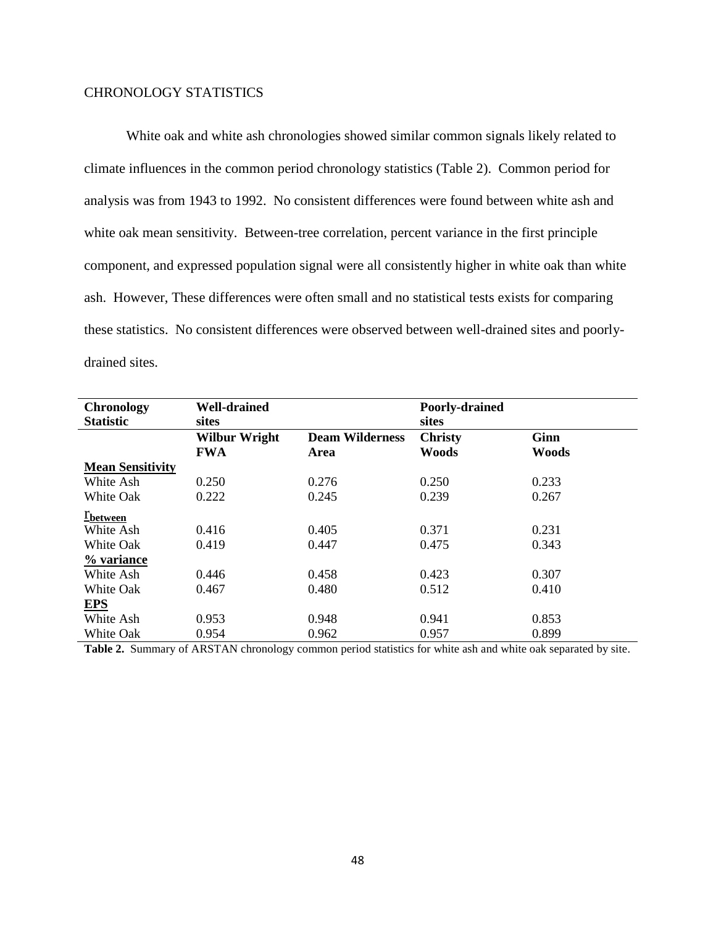## CHRONOLOGY STATISTICS

White oak and white ash chronologies showed similar common signals likely related to climate influences in the common period chronology statistics (Table 2). Common period for analysis was from 1943 to 1992. No consistent differences were found between white ash and white oak mean sensitivity. Between-tree correlation, percent variance in the first principle component, and expressed population signal were all consistently higher in white oak than white ash. However, These differences were often small and no statistical tests exists for comparing these statistics. No consistent differences were observed between well-drained sites and poorlydrained sites.

| <b>Chronology</b><br><b>Statistic</b> | <b>Well-drained</b><br>sites       |                                | Poorly-drained<br>sites        |                             |
|---------------------------------------|------------------------------------|--------------------------------|--------------------------------|-----------------------------|
|                                       | <b>Wilbur Wright</b><br><b>FWA</b> | <b>Deam Wilderness</b><br>Area | <b>Christy</b><br><b>Woods</b> | <b>Ginn</b><br><b>Woods</b> |
| <b>Mean Sensitivity</b>               |                                    |                                |                                |                             |
| White Ash                             | 0.250                              | 0.276                          | 0.250                          | 0.233                       |
| <b>White Oak</b>                      | 0.222                              | 0.245                          | 0.239                          | 0.267                       |
| <i>E</i> between                      |                                    |                                |                                |                             |
| White Ash                             | 0.416                              | 0.405                          | 0.371                          | 0.231                       |
| <b>White Oak</b>                      | 0.419                              | 0.447                          | 0.475                          | 0.343                       |
| % variance                            |                                    |                                |                                |                             |
| White Ash                             | 0.446                              | 0.458                          | 0.423                          | 0.307                       |
| <b>White Oak</b>                      | 0.467                              | 0.480                          | 0.512                          | 0.410                       |
| EPS                                   |                                    |                                |                                |                             |
| White Ash                             | 0.953                              | 0.948                          | 0.941                          | 0.853                       |
| White Oak                             | 0.954                              | 0.962                          | 0.957                          | 0.899                       |

**Table 2.** Summary of ARSTAN chronology common period statistics for white ash and white oak separated by site.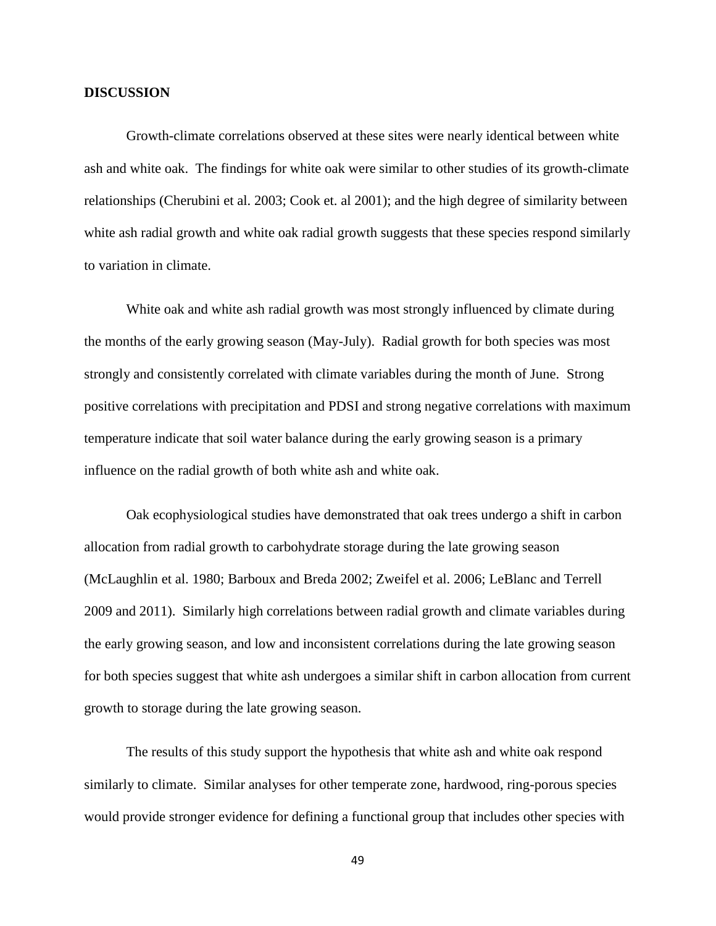#### **DISCUSSION**

Growth-climate correlations observed at these sites were nearly identical between white ash and white oak. The findings for white oak were similar to other studies of its growth-climate relationships (Cherubini et al. 2003; Cook et. al 2001); and the high degree of similarity between white ash radial growth and white oak radial growth suggests that these species respond similarly to variation in climate.

White oak and white ash radial growth was most strongly influenced by climate during the months of the early growing season (May-July). Radial growth for both species was most strongly and consistently correlated with climate variables during the month of June. Strong positive correlations with precipitation and PDSI and strong negative correlations with maximum temperature indicate that soil water balance during the early growing season is a primary influence on the radial growth of both white ash and white oak.

Oak ecophysiological studies have demonstrated that oak trees undergo a shift in carbon allocation from radial growth to carbohydrate storage during the late growing season (McLaughlin et al. 1980; Barboux and Breda 2002; Zweifel et al. 2006; LeBlanc and Terrell 2009 and 2011). Similarly high correlations between radial growth and climate variables during the early growing season, and low and inconsistent correlations during the late growing season for both species suggest that white ash undergoes a similar shift in carbon allocation from current growth to storage during the late growing season.

The results of this study support the hypothesis that white ash and white oak respond similarly to climate. Similar analyses for other temperate zone, hardwood, ring-porous species would provide stronger evidence for defining a functional group that includes other species with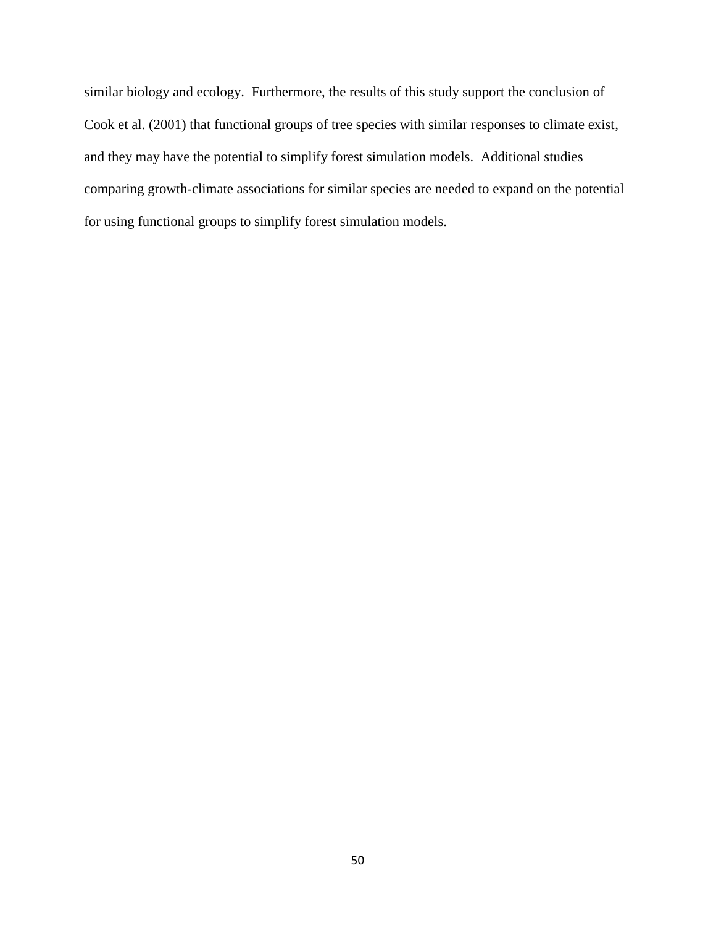similar biology and ecology. Furthermore, the results of this study support the conclusion of Cook et al. (2001) that functional groups of tree species with similar responses to climate exist, and they may have the potential to simplify forest simulation models. Additional studies comparing growth-climate associations for similar species are needed to expand on the potential for using functional groups to simplify forest simulation models.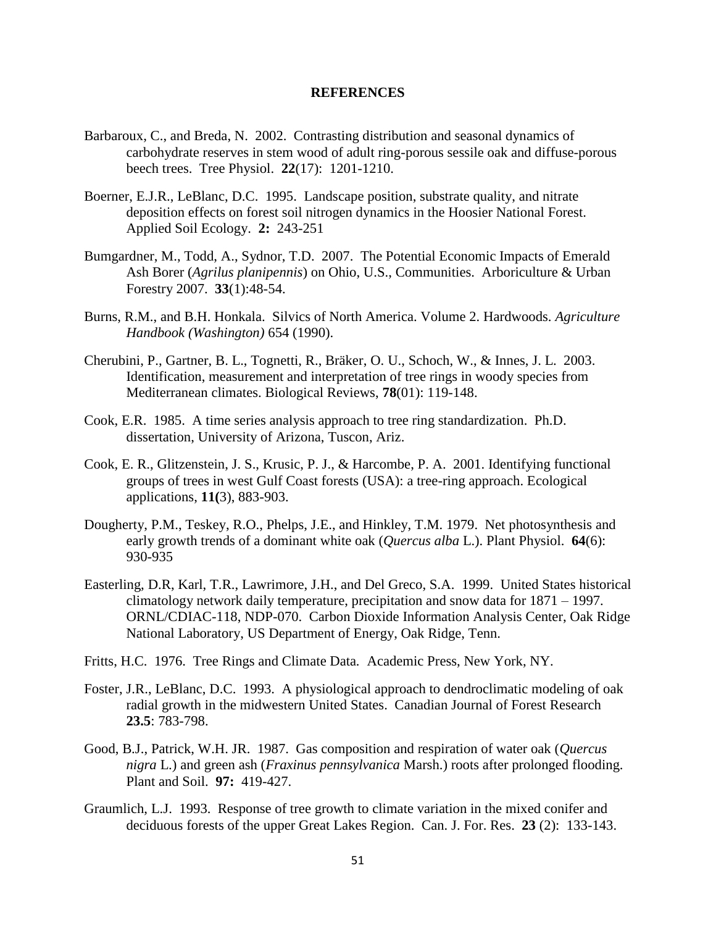#### **REFERENCES**

- Barbaroux, C., and Breda, N. 2002. Contrasting distribution and seasonal dynamics of carbohydrate reserves in stem wood of adult ring-porous sessile oak and diffuse-porous beech trees. Tree Physiol. **22**(17): 1201-1210.
- Boerner, E.J.R., LeBlanc, D.C. 1995. Landscape position, substrate quality, and nitrate deposition effects on forest soil nitrogen dynamics in the Hoosier National Forest. Applied Soil Ecology. **2:** 243-251
- Bumgardner, M., Todd, A., Sydnor, T.D. 2007. The Potential Economic Impacts of Emerald Ash Borer (*Agrilus planipennis*) on Ohio, U.S., Communities. Arboriculture & Urban Forestry 2007. **33**(1):48-54.
- Burns, R.M., and B.H. Honkala. Silvics of North America. Volume 2. Hardwoods. *Agriculture Handbook (Washington)* 654 (1990).
- Cherubini, P., Gartner, B. L., Tognetti, R., Bräker, O. U., Schoch, W., & Innes, J. L. 2003. Identification, measurement and interpretation of tree rings in woody species from Mediterranean climates. Biological Reviews, **78**(01): 119-148.
- Cook, E.R. 1985. A time series analysis approach to tree ring standardization. Ph.D. dissertation, University of Arizona, Tuscon, Ariz.
- Cook, E. R., Glitzenstein, J. S., Krusic, P. J., & Harcombe, P. A. 2001. Identifying functional groups of trees in west Gulf Coast forests (USA): a tree-ring approach. Ecological applications, **11(**3), 883-903.
- Dougherty, P.M., Teskey, R.O., Phelps, J.E., and Hinkley, T.M. 1979. Net photosynthesis and early growth trends of a dominant white oak (*Quercus alba* L.). Plant Physiol. **64**(6): 930-935
- Easterling, D.R, Karl, T.R., Lawrimore, J.H., and Del Greco, S.A. 1999. United States historical climatology network daily temperature, precipitation and snow data for 1871 – 1997. ORNL/CDIAC-118, NDP-070. Carbon Dioxide Information Analysis Center, Oak Ridge National Laboratory, US Department of Energy, Oak Ridge, Tenn.
- Fritts, H.C. 1976. Tree Rings and Climate Data*.* Academic Press, New York, NY.
- Foster, J.R., LeBlanc, D.C. 1993. A physiological approach to dendroclimatic modeling of oak radial growth in the midwestern United States. Canadian Journal of Forest Research **23.5**: 783-798.
- Good, B.J., Patrick, W.H. JR. 1987. Gas composition and respiration of water oak (*Quercus nigra* L.) and green ash (*Fraxinus pennsylvanica* Marsh.) roots after prolonged flooding. Plant and Soil. **97:** 419-427.
- Graumlich, L.J. 1993. Response of tree growth to climate variation in the mixed conifer and deciduous forests of the upper Great Lakes Region. Can. J. For. Res. **23** (2): 133-143.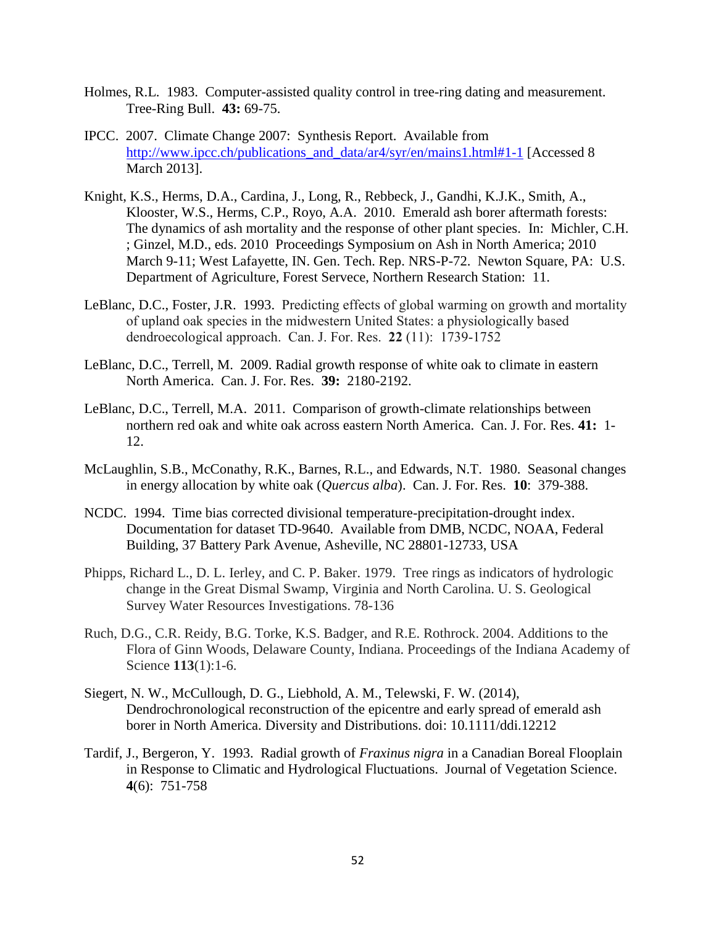- Holmes, R.L. 1983. Computer-assisted quality control in tree-ring dating and measurement. Tree-Ring Bull. **43:** 69-75.
- IPCC. 2007. Climate Change 2007: Synthesis Report. Available from http://www.ipcc.ch/publications and data/ar4/syr/en/mains1.html#1-1 [Accessed 8 March 2013].
- Knight, K.S., Herms, D.A., Cardina, J., Long, R., Rebbeck, J., Gandhi, K.J.K., Smith, A., Klooster, W.S., Herms, C.P., Royo, A.A. 2010. Emerald ash borer aftermath forests: The dynamics of ash mortality and the response of other plant species. In: Michler, C.H. ; Ginzel, M.D., eds. 2010 Proceedings Symposium on Ash in North America; 2010 March 9-11; West Lafayette, IN. Gen. Tech. Rep. NRS-P-72. Newton Square, PA: U.S. Department of Agriculture, Forest Servece, Northern Research Station: 11.
- LeBlanc, D.C., Foster, J.R. 1993. Predicting effects of global warming on growth and mortality of upland oak species in the midwestern United States: a physiologically based dendroecological approach. Can. J. For. Res. **22** (11): 1739-1752
- LeBlanc, D.C., Terrell, M. 2009. Radial growth response of white oak to climate in eastern North America. Can. J. For. Res. **39:** 2180-2192.
- LeBlanc, D.C., Terrell, M.A. 2011. Comparison of growth-climate relationships between northern red oak and white oak across eastern North America. Can. J. For. Res. **41:** 1- 12.
- McLaughlin, S.B., McConathy, R.K., Barnes, R.L., and Edwards, N.T. 1980. Seasonal changes in energy allocation by white oak (*Quercus alba*). Can. J. For. Res. **10**: 379-388.
- NCDC. 1994. Time bias corrected divisional temperature-precipitation-drought index. Documentation for dataset TD-9640. Available from DMB, NCDC, NOAA, Federal Building, 37 Battery Park Avenue, Asheville, NC 28801-12733, USA
- Phipps, Richard L., D. L. Ierley, and C. P. Baker. 1979. Tree rings as indicators of hydrologic change in the Great Dismal Swamp, Virginia and North Carolina. U. S. Geological Survey Water Resources Investigations. 78-136
- Ruch, D.G., C.R. Reidy, B.G. Torke, K.S. Badger, and R.E. Rothrock. 2004. Additions to the Flora of Ginn Woods, Delaware County, Indiana. Proceedings of the Indiana Academy of Science **113**(1):1-6.
- Siegert, N. W., McCullough, D. G., Liebhold, A. M., Telewski, F. W. (2014), Dendrochronological reconstruction of the epicentre and early spread of emerald ash borer in North America. Diversity and Distributions. doi: 10.1111/ddi.12212
- Tardif, J., Bergeron, Y. 1993. Radial growth of *Fraxinus nigra* in a Canadian Boreal Flooplain in Response to Climatic and Hydrological Fluctuations. Journal of Vegetation Science. **4**(6): 751-758